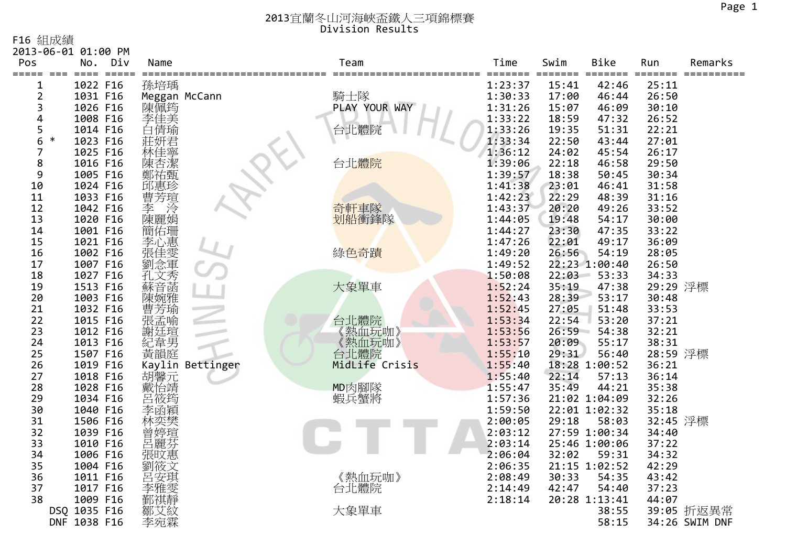F16 組成績

|                | 2013-06-01 01:00 PM |               |             |                       |                  |                                          |              |              |                     |          |                |
|----------------|---------------------|---------------|-------------|-----------------------|------------------|------------------------------------------|--------------|--------------|---------------------|----------|----------------|
| Pos<br>=====   |                     | No.<br>$====$ | Div<br>$==$ | Name                  |                  | Team                                     | Time<br>==== | Swim<br>==== | <b>Bike</b><br>$==$ | Run      | Remarks        |
|                |                     | 1022 F16      |             | 孫培瑀                   |                  |                                          | 1:23:37      | 15:41        | 42:46               | 25:11    |                |
| $\overline{2}$ |                     |               | 1031 F16    |                       | Meggan McCann    | 騎士隊                                      | 1:30:33      | 17:00        | 46:44               | 26:50    |                |
| 3              |                     | 1026 F16      |             | 陳佩筠                   |                  | PLAY YOUR WAY                            | 1:31:26      | 15:07        | 46:09               | 30:10    |                |
| 4              |                     | 1008 F16      |             | 李佳美                   |                  |                                          | 1:33:22      | 18:59        | 47:32               | 26:52    |                |
| 5              |                     | 1014 F16      |             | 白倩瑜                   |                  | 台北體院                                     | 1:33:26      | 19:35        | 51:31               | 22:21    |                |
| 6              | ∗                   | 1023 F16      |             |                       |                  |                                          | 1:33:34      | 22:50        | 43:44               | 27:01    |                |
| 7              |                     | 1025 F16      |             | 莊妍君林佳寧                |                  |                                          | 1:36:12      | 24:02        | 45:54               | 26:17    |                |
| 8              |                     | 1016 F16      |             | 陳杏潔                   |                  | 台北體院                                     | 1:39:06      | 22:18        | 46:58               | 29:50    |                |
| 9              |                     | 1005 F16      |             | 鄭祐甄                   |                  |                                          | 1:39:57      | 18:38        | 50:45               | 30:34    |                |
| 10             |                     | 1024 F16      |             | 邱惠珍                   |                  |                                          | 1:41:38      | 23:01        | 46:41               | 31:58    |                |
| 11             |                     | 1033 F16      |             | 曹芳瑄                   |                  |                                          | 1:42:23      | 22:29        | 48:39               | 31:16    |                |
| 12             |                     | 1042 F16      |             |                       |                  |                                          | 1:43:37      | 20:20        | 49:26               | 33:52    |                |
| 13             |                     | 1020 F16      |             | 李 滂<br>陳麗娟            |                  | <mark>奇軒車</mark> 隊<br><mark>划船衝鋒隊</mark> | 1:44:05      | 19:48        | 54:17               | 30:00    |                |
| 14             |                     | 1001 F16      |             |                       |                  |                                          | 1:44:27      | 23:30        | 47:35               | 33:22    |                |
| 15             |                     | 1021 F16      |             |                       |                  |                                          | 1:47:26      | 22:01        | 49:17               | 36:09    |                |
| 16             |                     | 1002 F16      |             | E簡李張劉R在位出版研究<br>《中国史》 |                  | 綠色奇蹟                                     | 1:49:20      | 26:56        | 54:19               | 28:05    |                |
| 17             |                     | 1007 F16      |             |                       |                  |                                          | 1:49:52      |              | 22:23 1:00:40       | 26:50    |                |
| 18             |                     | 1027 F16      |             | 元文音婉雅:                |                  |                                          | 1:50:08      | 22:03        | 53:33               | 34:33    |                |
| 19             |                     | 1513 F16      |             |                       |                  | 大象單車                                     | 1:52:24      | 35:19        | 47:38               | 29:29 浮標 |                |
| 20             |                     | 1003 F16      |             |                       |                  |                                          | 1:52:43      | 28:39        | 53:17               | 30:48    |                |
| 21             |                     | 1032 F16      |             | "曹張謝紀黃.<br>《芳孟廷韋韻·    |                  |                                          | 1:52:45      | 27:05        | 51:48               | 33:53    |                |
| 22             |                     | 1015 F16      |             |                       |                  | 台北體院                                     | 1:53:34      | 22:54        | 53:20               | 37:21    |                |
| 23             |                     | 1012 F16      |             |                       |                  | 熱血玩咖》                                    | 1:53:56      | 26:59        | 54:38               | 32:21    |                |
| 24             |                     | 1013 F16      |             |                       |                  | 《熱血玩咖》<br>台北體院                           | 1:53:57      | 20:09        | 55:17               | 38:31    |                |
| 25             |                     | 1507 F16      |             |                       |                  |                                          | 1:55:10      | 29:31        | 56:40               | 28:59 浮標 |                |
| 26             |                     | 1019 F16      |             |                       | Kaylin Bettinger | MidLife Crisis                           | 1:55:40      |              | 18:28 1:00:52       | 36:21    |                |
| 27             |                     | 1018 F16      |             | 胡馨元<br>戴怡旖<br>巴·      |                  |                                          | 1:55:40      | 22:14        | 57:13               | 36:14    |                |
| 28             |                     | 1028 F16      |             |                       |                  | MD肉腳隊                                    | 1:55:47      | 35:49        | 44:21               | 35:38    |                |
| 29             |                     | 1034 F16      |             |                       |                  | 蝦兵蟹將                                     | 1:57:36      |              | 21:02 1:04:09       | 32:26    |                |
| 30             |                     | 1040 F16      |             | 李函穎                   |                  |                                          | 1:59:50      |              | 22:01 1:02:32       | 35:18    |                |
| 31             |                     | 1506 F16      |             |                       |                  |                                          | 2:00:05      | 29:18        | 58:03               | 32:45 浮標 |                |
| 32             |                     | 1039 F16      |             | 曾婷瑄                   |                  |                                          | 2:03:12      |              | 27:59 1:00:34       | 34:40    |                |
| 33             |                     | 1010 F16      |             | 呂麗芬                   |                  |                                          | 2:03:14      |              | 25:46 1:00:06       | 37:22    |                |
| 34             |                     | 1006 F16      |             | 張旼惠                   |                  |                                          | 2:06:04      | 32:02        | 59:31               | 34:32    |                |
| 35             |                     | 1004 F16      |             |                       |                  |                                          | 2:06:35      |              | 21:15 1:02:52       | 42:29    |                |
| 36             |                     | 1011 F16      |             | 呂安琪                   |                  | 《熱血玩咖》                                   | 2:08:49      | 30:33        | 54:35               | 43:42    |                |
| 37             |                     | 1017 F16      |             | 李雅雯                   |                  | 台北體院                                     | 2:14:49      | 42:47        | 54:40               | 37:23    |                |
| 38             |                     |               | 1009 F16    |                       |                  |                                          | 2:18:14      |              | 20:28 1:13:41       | 44:07    |                |
|                | DSQ 1035 F16        |               |             | 鄒艾紋                   |                  | 大象單車                                     |              |              | 38:55               |          | 39:05 折返異常     |
|                | DNF 1038 F16        |               |             | 李宛霖                   |                  |                                          |              |              | 58:15               |          | 34:26 SWIM DNF |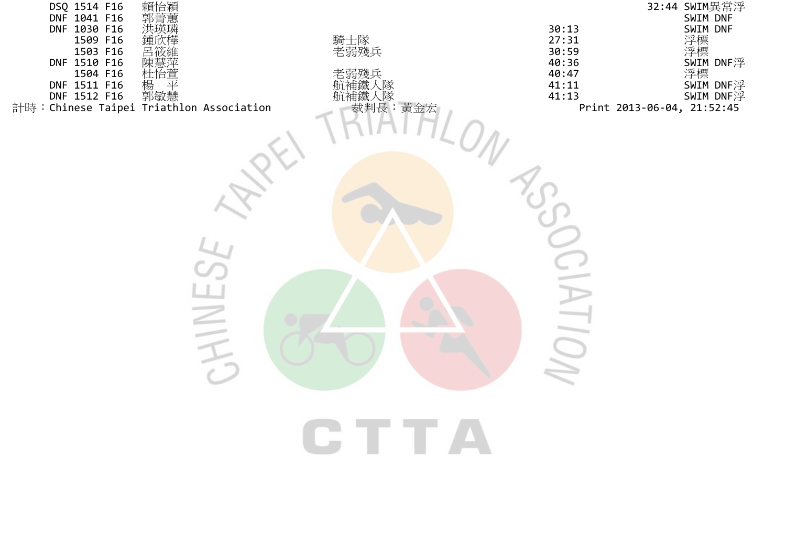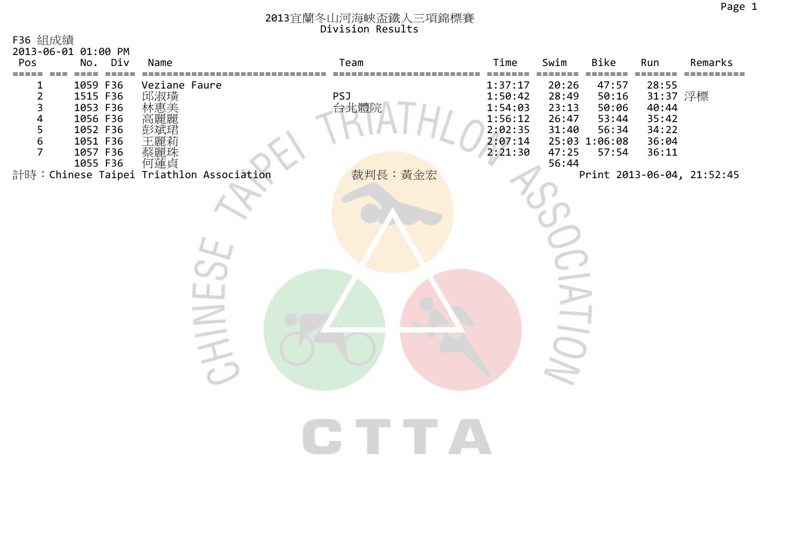| F36 組成績<br>2013-06-01 01:00 PM                                                                                                                                                                                    |                                           |        |                               |                                                                           |                                                             |                                                                     |                                                                |                            |
|-------------------------------------------------------------------------------------------------------------------------------------------------------------------------------------------------------------------|-------------------------------------------|--------|-------------------------------|---------------------------------------------------------------------------|-------------------------------------------------------------|---------------------------------------------------------------------|----------------------------------------------------------------|----------------------------|
| Pos<br>No. Div                                                                                                                                                                                                    | Name                                      |        | Team                          | Time                                                                      | Swim                                                        | Bike                                                                | Run                                                            | Remarks                    |
| 1059 F36<br>1<br>$\overline{2}$<br>1515 F36<br>3<br>1053 F36<br>4<br>1056 F36<br>5<br>1052 F36<br>$\epsilon$<br>1051 F36<br>$\overline{7}$<br>1057 F36<br>1055 F36 何蓮貞<br>計時:Chinese Taipei Triathlon Association | Veziane Faure<br>邱淑璜<br>林惠美<br>彭斌玮<br>蔡麗珠 |        | <b>PSJ</b><br>台北體院<br>裁判長:黃金宏 | 1:37:17<br>1:50:42<br>1:54:03<br>1:56:12<br>2:02:35<br>2:07:14<br>2:21:30 | 20:26<br>28:49<br>23:13<br>26:47<br>31:40<br>47:25<br>56:44 | 47:57<br>50:16<br>50:06<br>53:44<br>56:34<br>25:03 1:06:08<br>57:54 | 28:55<br>31:37 浮標<br>40:44<br>35:42<br>34:22<br>36:04<br>36:11 | Print 2013-06-04, 21:52:45 |
|                                                                                                                                                                                                                   |                                           | $\geq$ |                               |                                                                           |                                                             |                                                                     |                                                                |                            |
|                                                                                                                                                                                                                   |                                           |        | T T                           |                                                                           |                                                             |                                                                     |                                                                |                            |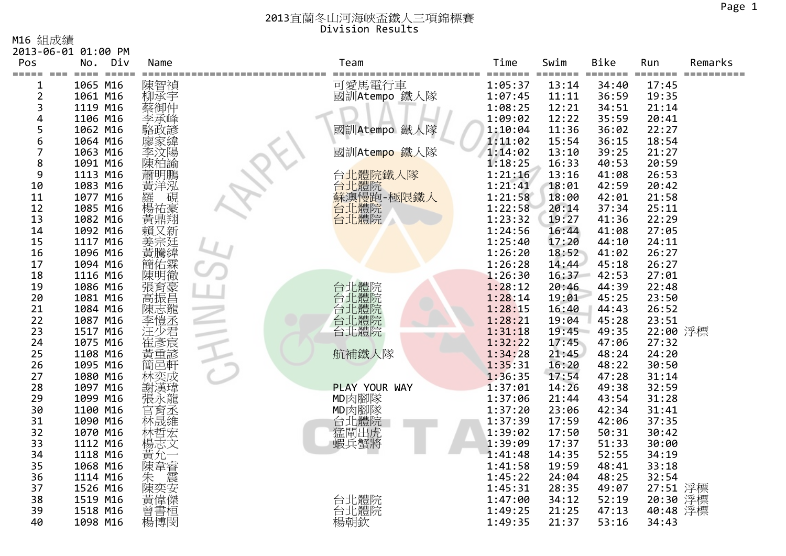M16 組成績

|                | 2013-06-01 01:00 PM               |                                       |                                         |                    |                |                |                                 |         |
|----------------|-----------------------------------|---------------------------------------|-----------------------------------------|--------------------|----------------|----------------|---------------------------------|---------|
| Pos            | Div<br>No.                        | Name                                  | Team                                    | Time               | Swim           | Bike           | Run                             | Remarks |
| =====          | $=$ $=$ $=$ $=$<br>$====$<br>$==$ |                                       |                                         | =======            | =======        | $====$         | $=$ $=$ $=$ $=$ $=$<br>$\equiv$ |         |
| 1              | 1065 M16                          | 陳智禎                                   | 可愛馬電行車                                  | 1:05:37            | 13:14          | 34:40          | 17:45                           |         |
| $\overline{2}$ | 1061 M16                          | 柳承宇                                   | 國訓Atempo 鐵人隊                            | 1:07:45            | 11:11          | 36:59          | 19:35                           |         |
| 3              | 1119 M16                          | 蔡御仲                                   |                                         | 1:08:25            | 12:21          | 34:51          | 21:14                           |         |
| 4              | 1106 M16                          | 李承峰                                   |                                         | 1:09:02            | 12:22          | 35:59          | 20:41                           |         |
| 5              | 1062 M16                          |                                       | 國訓Atempo 鐵人隊                            | 1:10:04            | 11:36          | 36:02          | 22:27                           |         |
| 6              | 1064 M16                          |                                       |                                         | 1:11:02            | 15:54          | 36:15          | 18:54                           |         |
| 7              | 1063 M16                          |                                       | 國訓Atempo 鐵人隊                            | 1:14:02            | 13:10          | 39:25          | 21:27                           |         |
| 8              | 1091 M16                          | 陳柏諭                                   |                                         | 1:18:25            | 16:33          | 40:53          | 20:59                           |         |
| 9              | 1113 M16                          | 蕭明鵬                                   | 台北體院鐵人隊                                 | 1:21:16            | 13:16          | 41:08          | 26:53                           |         |
| 10             | 1083 M16                          | 黃洋泓                                   | 台北體院                                    | 1:21:41            | 18:01          | 42:59          | 20:42                           |         |
| 11             | 1077 M16                          | 硯                                     | 品演慢跑-極限鐵人<br><mark>台北</mark> 體院<br>台北體院 | 1:21:58            | 18:00          | 42:01          | 21:58                           |         |
| 12             | 1085 M16                          | 楊祐豪<br>黃鼎翔                            |                                         | 1:22:58            | 20:14          | 37:34          | 25:11                           |         |
| 13             | 1082 M16                          |                                       |                                         | 1:23:32            | 19:27          | 41:36          | 22:29                           |         |
| 14             | 1092 M16                          | 賴又新                                   |                                         | 1:24:56            | 16:44          | 41:08          | 27:05                           |         |
| 15             | 1117 M16                          | 姜宗廷                                   |                                         | 1:25:40            | 17:20          | 44:10          | 24:11                           |         |
| 16             | 1096 M16                          | 黃騰緯                                   |                                         | 1:26:20            | 18:52          | 41:02          | 26:27                           |         |
| 17             | 1094 M16                          | (簡佑霖)                                 |                                         | 1:26:28            | 14:44          | 45:18          | 26:27                           |         |
| 18<br>19       | 1116 M16                          |                                       |                                         | 1:26:30            | 16:37          | 42:53          | 27:01                           |         |
| 20             | 1086 M16<br>1081 M16              | "張高振志愷<br>南張志愷<br><br>王 <u>朝</u><br>王 | 台北體院院<br>台北體體院<br>台北體體院                 | 1:28:12<br>1:28:14 | 20:46<br>19:01 | 44:39<br>45:25 | 22:48<br>23:50                  |         |
| 21             | 1084 M16                          |                                       |                                         | 1:28:15            | 16:40          | 44:43          | 26:52                           |         |
| 22             | 1087 M16                          |                                       |                                         | 1:28:21            | 19:04          | 45:28          | 23:51                           |         |
| 23             | 1517 M16                          |                                       | 台北體院                                    | 1:31:18            | 19:45          | 49:35          | 22:00 浮標                        |         |
| 24             | 1075 M16                          | 注少君<br>崔彥宸                            |                                         | 1:32:22            | 17:45          | 47:06          | 27:32                           |         |
| 25             | 1108 M16                          | 黃重諺                                   | 航補鐵人隊                                   | 1:34:28            | 21:45          | 48:24          | 24:20                           |         |
| 26             | 1095 M16                          | 簡邑軒                                   |                                         | 1:35:31            | 16:20          | 48:22          | 30:50                           |         |
| 27             | 1080 M16                          | 林奕成                                   |                                         | 1:36:35            | 17:54          | 47:28          | 31:14                           |         |
| 28             | 1097 M16                          | 謝漢瑋                                   | PLAY YOUR WAY                           | 1:37:01            | 14:26          | 49:38          | 32:59                           |         |
| 29             | 1099 M16                          | 張永龍                                   | MD肉腳隊                                   | 1:37:06            | 21:44          | 43:54          | 31:28                           |         |
| 30             | 1100 M16                          | 官育丞                                   | MD肉腳隊                                   | 1:37:20            | 23:06          | 42:34          | 31:41                           |         |
| 31             | 1090 M16                          |                                       |                                         | 1:37:39            | 17:59          | 42:06          | 37:35                           |         |
| 32             | 1070 M16                          | 林哲宏                                   | 台北體院                                    | 1:39:02            | 17:50          | 50:31          | 30:42                           |         |
| 33             | 1112 M16                          | 楊志文                                   | 蝦兵蟹將                                    | 1:39:09            | 17:37          | 51:33          | 30:00                           |         |
| 34             | 1118 M16                          | 黃允                                    |                                         | 1:41:48            | 14:35          | 52:55          | 34:19                           |         |
| 35             | 1068 M16                          | 陳韋睿                                   |                                         | 1:41:58            | 19:59          | 48:41          | 33:18                           |         |
| 36             | 1114 M16                          | 震<br>朱                                |                                         | 1:45:22            | 24:04          | 48:25          | 32:54                           |         |
| 37             | 1526 M16                          | 陳奕安                                   |                                         | 1:45:31            | 28:35          | 49:07          | 27:51                           | 浮標      |
| 38             | 1519 M16                          | 黃偉傑                                   |                                         | 1:47:00            | 34:12          | 52:19          | 20:30                           | 浮標      |
| 39             | 1518 M16                          | 曾書桓                                   | 台北體院                                    | 1:49:25            | 21:25          | 47:13          | 40:48                           | 浮標      |
| 40             | 1098 M16                          | 楊博閔                                   | 楊朝欽                                     | 1:49:35            | 21:37          | 53:16          | 34:43                           |         |
|                |                                   |                                       |                                         |                    |                |                |                                 |         |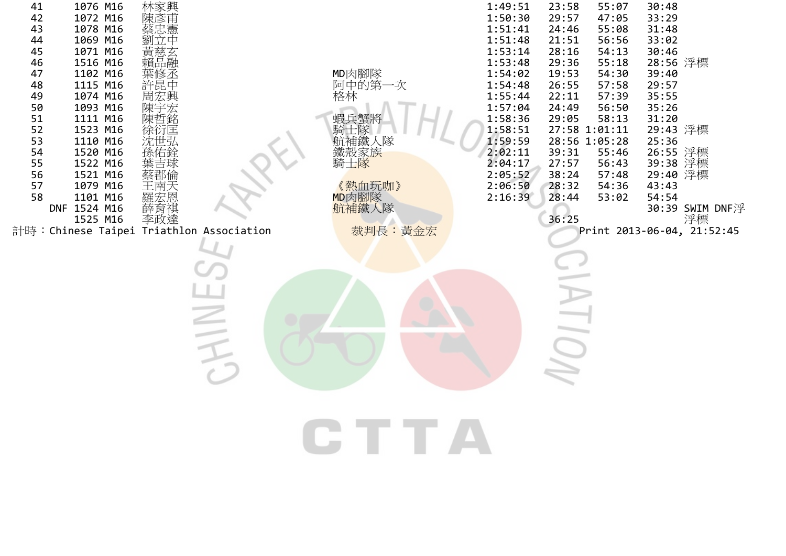| 1076 M16<br>41<br>42<br>1072 M16<br>43<br>1078 M16<br>44<br>1069 M16<br>45<br>1071 M16<br>1516 M16<br>46<br>1102 M16<br>47<br>48<br>1115 M16<br>49<br>1074 M16<br>1093 M16<br>50<br>51<br>1111 M16<br>52<br>1523 M16<br>53<br>1110 M16<br>54<br>1520 M16<br>1522 M16<br>55<br>1521 M16<br>56<br>57<br>1079 M16<br>58 1101 M16 羅宏恩<br>DNF 1524 M16 薛育祺<br>1525 M16 李政達<br>計時:Chinese Taipei Triathlon Association | 林陳彥忠<br>陳<br><br><br><br><br><br><br><br><br><br><br><br><br><br><br><br><br><br><br><br><br><br><br>黃慈玄<br>賴品融<br>葉修丞<br>許昆中<br> 周宏興<br> 東京<br> 陳哲<br> 東京<br> <br> <br> <br> <br> <br> <br> <br>徐衍匡<br>沈世弘 |          | MD肉腳隊<br>阿中的第一次<br>格林<br>蝦兵蟹將<br>"騎击隊<br>航補鐵人隊<br>鐵殼家族<br>騎士 <mark>隊</mark><br>《熱血玩咖》<br>MD肉腳隊<br>航補鐵人隊<br>裁判長:黃金宏 | 1:49:51<br>1:50:30<br>1:51:41<br>1:51:48<br>1:53:14<br>1:53:48<br>1:54:02<br>1:54:48<br>1:55:44<br>1:57:04<br>1:58:36<br>1:58:51<br>1:59:59<br>2:02:11<br>2:04:17<br>2:05:52<br>2:06:50<br>2:16:39 | 23:58<br>55:07<br>29:57<br>47:05<br>24:46<br>55:08<br>21:51<br>56:56<br>28:16<br>54:13<br>29:36<br>55:18<br>19:53<br>54:30<br>26:55<br>57:58<br>22:11<br>57:39<br>56:50<br>24:49<br>29:05<br>58:13<br>27:58 1:01:11<br>28:56 1:05:28<br>39:31<br>55:46<br>27:57<br>56:43<br>38:24<br>57:48<br>28:32<br>54:36<br>28:44<br>53:02<br>36:25 | 30:48<br>33:29<br>31:48<br>33:02<br>30:46<br>28:56 浮標<br>39:40<br>29:57<br>35:55<br>35:26<br>31:20<br>29:43 浮標<br>25:36<br>26:55 浮標<br>39:38 浮標<br>29:40 浮標<br>43:43<br>54:54<br>30:39 SWIM DNF浮<br>浮標<br>Print 2013-06-04, 21:52:45 |
|------------------------------------------------------------------------------------------------------------------------------------------------------------------------------------------------------------------------------------------------------------------------------------------------------------------------------------------------------------------------------------------------------------------|-------------------------------------------------------------------------------------------------------------------------------------------------------------------------------------------------------------|----------|--------------------------------------------------------------------------------------------------------------------|----------------------------------------------------------------------------------------------------------------------------------------------------------------------------------------------------|-----------------------------------------------------------------------------------------------------------------------------------------------------------------------------------------------------------------------------------------------------------------------------------------------------------------------------------------|--------------------------------------------------------------------------------------------------------------------------------------------------------------------------------------------------------------------------------------|
|                                                                                                                                                                                                                                                                                                                                                                                                                  |                                                                                                                                                                                                             | $\equiv$ |                                                                                                                    |                                                                                                                                                                                                    |                                                                                                                                                                                                                                                                                                                                         |                                                                                                                                                                                                                                      |
|                                                                                                                                                                                                                                                                                                                                                                                                                  |                                                                                                                                                                                                             |          |                                                                                                                    |                                                                                                                                                                                                    |                                                                                                                                                                                                                                                                                                                                         |                                                                                                                                                                                                                                      |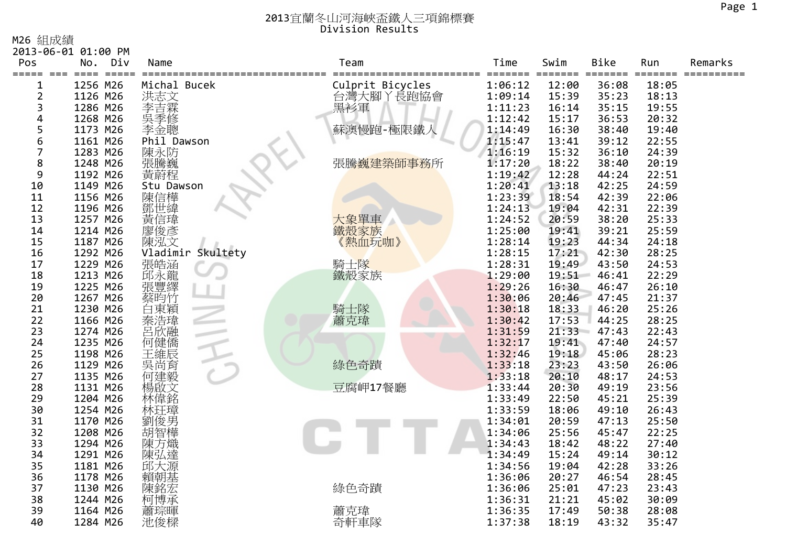M26 組成績

2013‐06‐01 01:00 PM

| Pos<br>=====   | No.<br>====          | Div<br>$=$ $=$ $=$ $=$ | Name               |                   | Team             | Time<br>=======    | Swim<br>======= | <b>Bike</b><br>==== | Run<br>======  | Remarks |
|----------------|----------------------|------------------------|--------------------|-------------------|------------------|--------------------|-----------------|---------------------|----------------|---------|
| 1              | 1256 M26             |                        | Michal Bucek       |                   | Culprit Bicycles | 1:06:12            | 12:00           | 36:08               | 18:05          |         |
| $\overline{2}$ | 1126 M26             |                        |                    |                   | 台灣大腳丫長跑協會        | 1:09:14            | 15:39           | 35:23               | 18:13          |         |
| 3              | 1286 M26             |                        |                    |                   | 黑衫軍              | 1:11:23            | 16:14           | 35:15               | 19:55          |         |
| 4              | 1268 M26             |                        |                    |                   |                  | 1:12:42            | 15:17           | 36:53               | 20:32          |         |
| 5              | 1173 M26             |                        | ·洪李异季金:志吉季金:       |                   | 蘇澳慢跑-極限鐵人        | 1:14:49            | 16:30           | 38:40               | 19:40          |         |
| 6              | 1161 M26             |                        | Phil Dawson        |                   |                  | 1:15:47            | 13:41           | 39:12               | 22:55          |         |
| 7              | 1283 M26             |                        | 陳永防                |                   |                  | 1:16:19            | 15:32           | 36:10               | 24:39          |         |
| 8              | 1248 M26             |                        | 張騰巍                |                   | 張騰巍建築師事務所        | 1:17:20            | 18:22           | 38:40               | 20:19          |         |
| 9              | 1192 M26             |                        | 黃蔚程                |                   |                  | 1:19:42            | 12:28           | 44:24               | 22:51          |         |
| 10             | 1149 M26             |                        | Stu Dawson         |                   |                  | 1:20:41            | 13:18           | 42:25               | 24:59          |         |
| 11             | 1156 M26             |                        | 陳信樺                |                   |                  | 1:23:39            | 18:54           | 42:39               | 22:06          |         |
| 12             | 1196 M26             |                        | 鄧世緯                |                   |                  | 1:24:13            | 19:04           | 42:31               | 22:39          |         |
| 13             | 1257 M26             |                        | 黃信瑋                |                   | 大象單車             | 1:24:52            | 20:59           | 38:20               | 25:33          |         |
| 14             | 1214 M26             |                        | 廖俊彥                |                   | 鐵殼家族             | 1:25:00            | 19:41           | 39:21               | 25:59          |         |
| 15             | 1187 M26             |                        | 陳泓文                |                   | 《熱血玩咖》           | 1:28:14            | 19:23           | 44:34               | 24:18          |         |
| 16             | 1292 M26             |                        |                    | Vladimir Skultety |                  | 1:28:15            | 17:21           | 42:30               | 28:25          |         |
| 17             | 1229 M26             |                        | 張皓涵<br>邱永龍繹<br>張豐繹 |                   | 騎士隊              | 1:28:31            | 19:49           | 43:50               | 24:53          |         |
| 18             | 1213 M26             |                        |                    |                   | 鐵殼家族             | 1:29:00            | 19:51           | 46:41               | 22:29          |         |
| 19             | 1225 M26             |                        |                    |                   |                  | 1:29:26            | 16:30           | 46:47               | 26:10          |         |
| 20             | 1267 M26             |                        | 蔡昀竹                |                   |                  | 1:30:06            | 20:46           | 47:45               | 21:37          |         |
| 21             | 1230 M26             |                        | 白東穎                |                   | 騎士隊              | 1:30:18            | 18:33           | 46:20               | 25:26          |         |
| 22             | 1166 M26             |                        | 秦浩瑋                |                   | 蕭克瑋              | 1:30:42            | 17:53           | 44:25               | 28:25          |         |
| 23             | 1274 M26             |                        | 呂欣融                |                   |                  | 1:31:59            | 21:33           | 47:43               | 22:43          |         |
| 24             | 1235 M26             |                        | 何健僑                |                   |                  | 1:32:17            | 19:41           | 47:40               | 24:57          |         |
| 25             | 1198 M26             |                        | 王維辰                |                   |                  | 1:32:46            | 19:18           | 45:06               | 28:23          |         |
| 26             | 1129 M26             |                        | 吳尚育                |                   | 綠色奇蹟             | 1:33:18            | 23:23           | 43:50               | 26:06          |         |
| 27<br>28       | 1135 M26<br>1131 M26 |                        | 何建毅                |                   | 豆腐岬17餐廳          | 1:33:18<br>1:33:44 | 20:10           | 48:17               | 24:53<br>23:56 |         |
| 29             | 1204 M26             |                        | 楊啟文                |                   |                  | 1:33:49            | 20:30<br>22:50  | 49:19<br>45:21      | 25:39          |         |
| 30             | 1254 M26             |                        | 林偉銘<br>林玨璋         |                   |                  | 1:33:59            | 18:06           | 49:10               | 26:43          |         |
| 31             | 1170 M26             |                        | 劉俊男                |                   |                  | 1:34:01            | 20:59           | 47:13               | 25:50          |         |
| 32             | 1208 M26             |                        | 胡智樺                |                   |                  | 1:34:06            | 25:56           | 45:47               | 22:25          |         |
| 33             | 1294 M26             |                        | 陳方熾                |                   |                  | 1:34:43            | 18:42           | 48:22               | 27:40          |         |
| 34             | 1291 M26             |                        | 陳弘達                |                   |                  | 1:34:49            | 15:24           | 49:14               | 30:12          |         |
| 35             | 1181 M26             |                        | 邱大源                |                   |                  | 1:34:56            | 19:04           | 42:28               | 33:26          |         |
| 36             | 1178 M26             |                        | 賴朝基                |                   |                  | 1:36:06            | 20:27           | 46:54               | 28:45          |         |
| 37             | 1130 M26             |                        | 陳銘宏                |                   | 綠色奇蹟             | 1:36:06            | 25:01           | 47:23               | 23:43          |         |
| 38             | 1244 M26             |                        | 柯博承                |                   |                  | 1:36:31            | 21:21           | 45:02               | 30:09          |         |
| 39             | 1164 M26             |                        | 蕭琮暉                |                   | 蕭克瑋              | 1:36:35            | 17:49           | 50:38               | 28:08          |         |
| 40             | 1284 M26             |                        | 池俊樑                |                   | 奇軒車隊             | 1:37:38            | 18:19           | 43:32               | 35:47          |         |
|                |                      |                        |                    |                   |                  |                    |                 |                     |                |         |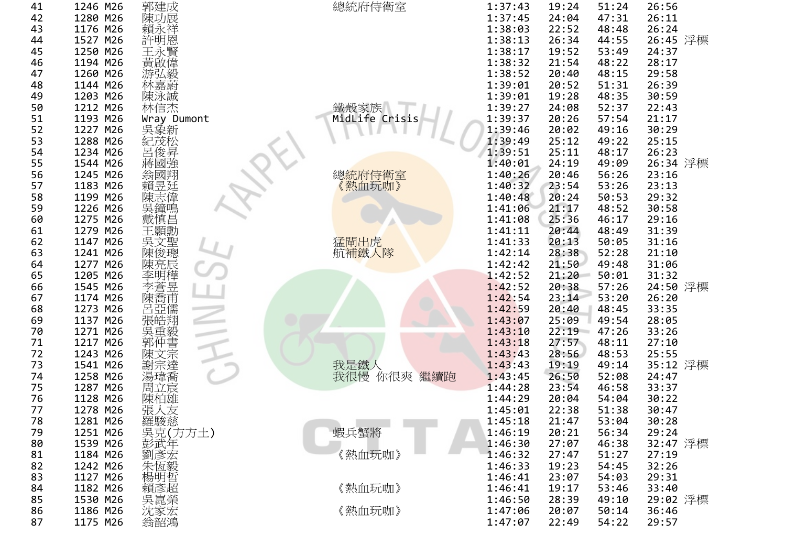| 41 | 1246 M26 | 郭建成                                                                                                                          | 總統府侍衛室                      | 1:37:43 | 19:24 | 51:24 | 26:56    |
|----|----------|------------------------------------------------------------------------------------------------------------------------------|-----------------------------|---------|-------|-------|----------|
| 42 | 1280 M26 | 陳功展                                                                                                                          |                             | 1:37:45 | 24:04 | 47:31 | 26:11    |
| 43 | 1176 M26 | 賴永祥                                                                                                                          |                             | 1:38:03 | 22:52 | 48:48 | 26:24    |
| 44 | 1527 M26 |                                                                                                                              |                             | 1:38:13 | 26:34 | 44:55 | 26:45 浮標 |
| 45 | 1250 M26 |                                                                                                                              |                             | 1:38:17 | 19:52 | 53:49 | 24:37    |
| 46 | 1194 M26 |                                                                                                                              |                             | 1:38:32 | 21:54 | 48:22 | 28:17    |
| 47 | 1260 M26 |                                                                                                                              |                             | 1:38:52 | 20:40 | 48:15 | 29:58    |
| 48 | 1144 M26 | 得許王黃游林!!<br><br><br><br><br><br><br><br><br><br><br><br><br><br><br><br><br><br><br><br><br><br><br><br><br><br><br><br><br> |                             | 1:39:01 | 20:52 | 51:31 | 26:39    |
| 49 | 1203 M26 | 陳泳誠                                                                                                                          |                             | 1:39:01 | 19:28 | 48:35 | 30:59    |
| 50 | 1212 M26 | 林信杰                                                                                                                          |                             | 1:39:27 | 24:08 | 52:37 | 22:43    |
| 51 | 1193 M26 | Wray Dumont                                                                                                                  | 鐵殼家族<br>MidLife Crisis      | 1:39:37 | 20:26 | 57:54 | 21:17    |
| 52 | 1227 M26 |                                                                                                                              |                             | 1:39:46 | 20:02 | 49:16 | 30:29    |
| 53 | 1288 M26 |                                                                                                                              |                             | 1:39:49 | 25:12 | 49:22 | 25:15    |
| 54 | 1234 M26 | 一吳象茂<br>松克<br><br><br><br><br><br><br><br><br><br><br><br><br><br><br><br><br><br><br><br><br><br><br><br>                   |                             | 1:39:51 | 25:11 | 48:17 | 26:23    |
| 55 | 1544 M26 | 蔣國強                                                                                                                          |                             | 1:40:01 | 24:19 | 49:09 | 26:34 浮標 |
| 56 | 1245 M26 | 翁國翔                                                                                                                          |                             | 1:40:26 | 20:46 | 56:26 | 23:16    |
| 57 | 1183 M26 | 賴昱廷                                                                                                                          | 《熱血玩咖》                      | 1:40:32 | 23:54 | 53:26 | 23:13    |
| 58 | 1199 M26 | 陳志偉                                                                                                                          |                             | 1:40:48 | 20:24 | 50:53 | 29:32    |
| 59 | 1226 M26 |                                                                                                                              |                             | 1:41:06 | 21:17 | 48:52 | 30:58    |
| 60 | 1275 M26 | 呉鐘鳴<br>戴慎昌                                                                                                                   |                             | 1:41:08 | 25:36 | 46:17 | 29:16    |
| 61 | 1279 M26 | 王顥勳                                                                                                                          |                             | 1:41:11 | 20:44 | 48:49 | 31:39    |
| 62 | 1147 M26 |                                                                                                                              |                             | 1:41:33 | 20:13 | 50:05 | 31:16    |
| 63 | 1241 M26 |                                                                                                                              | <mark>猛閘出虎</mark><br>航補鐵人隊  | 1:42:14 | 28:38 | 52:28 | 21:10    |
| 64 | 1277 M26 |                                                                                                                              |                             | 1:42:42 | 21:50 | 49:48 | 31:06    |
| 65 | 1205 M26 | 吳陳陳李李陳呂  朝文俊亮明蒼喬亞姓                                                                                                           |                             | 1:42:52 | 21:20 | 50:01 | 31:32    |
| 66 | 1545 M26 |                                                                                                                              |                             | 1:42:52 | 20:38 | 57:26 | 24:50 浮標 |
| 67 | 1174 M26 |                                                                                                                              |                             | 1:42:54 | 23:14 | 53:20 | 26:20    |
| 68 | 1273 M26 |                                                                                                                              |                             | 1:42:59 | 20:40 | 48:45 | 33:35    |
| 69 | 1137 M26 |                                                                                                                              |                             | 1:43:07 | 25:09 | 49:54 | 28:05    |
| 70 | 1271 M26 | 張皓翔<br>吳重毅                                                                                                                   |                             | 1:43:10 | 22:19 | 47:26 | 33:26    |
| 71 | 1217 M26 |                                                                                                                              |                             | 1:43:18 | 27:57 | 48:11 | 27:10    |
| 72 | 1243 M26 | 郭仲書                                                                                                                          |                             | 1:43:43 | 28:56 | 48:53 | 25:55    |
| 73 | 1541 M26 | 陳文宗                                                                                                                          |                             | 1:43:43 | 19:19 | 49:14 | 35:12 浮標 |
| 74 | 1258 M26 | 謝宗達                                                                                                                          | 我是鐵人<br>我很慢 f<br>你很爽<br>繼續跑 | 1:43:45 | 26:50 | 52:08 | 24:47    |
| 75 | 1287 M26 | 湯瑋喬                                                                                                                          |                             | 1:44:28 | 23:54 | 46:58 | 33:37    |
| 76 | 1128 M26 | 周立宸                                                                                                                          |                             | 1:44:29 | 20:04 | 54:04 | 30:22    |
| 77 | 1278 M26 | 陳柏雄                                                                                                                          |                             | 1:45:01 | 22:38 | 51:38 | 30:47    |
| 78 |          | 張人友                                                                                                                          |                             |         |       |       |          |
|    | 1281 M26 |                                                                                                                              |                             | 1:45:18 | 21:47 | 53:04 | 30:28    |
| 79 | 1251 M26 |                                                                                                                              | 蝦兵蟹將                        | 1:46:19 | 20:21 | 56:34 | 29:24    |
| 80 | 1539 M26 |                                                                                                                              |                             | 1:46:30 | 27:07 | 46:38 | 32:47 浮標 |
| 81 | 1184 M26 |                                                                                                                              | 《熱血玩咖》                      | 1:46:32 | 27:47 | 51:27 | 27:19    |
| 82 | 1242 M26 | <sup>旅</sup> 羅吳克武<br>長藤亮<br>彭武<br>朱福<br>朱福<br>朱福<br>朱 <i>張毅</i><br>朱福                                                        |                             | 1:46:33 | 19:23 | 54:45 | 32:26    |
| 83 | 1127 M26 | "楊賴吳"                                                                                                                        |                             | 1:46:41 | 23:07 | 54:03 | 29:31    |
| 84 | 1182 M26 |                                                                                                                              | 《熱血玩咖》                      | 1:46:41 | 19:17 | 53:46 | 33:40    |
| 85 | 1530 M26 |                                                                                                                              |                             | 1:46:50 | 28:39 | 49:10 | 29:02 浮標 |
| 86 | 1186 M26 | 沈家宏<br>翁韶鴻                                                                                                                   | 《熱血玩咖》                      | 1:47:06 | 20:07 | 50:14 | 36:46    |
| 87 | 1175 M26 |                                                                                                                              |                             | 1:47:07 | 22:49 | 54:22 | 29:57    |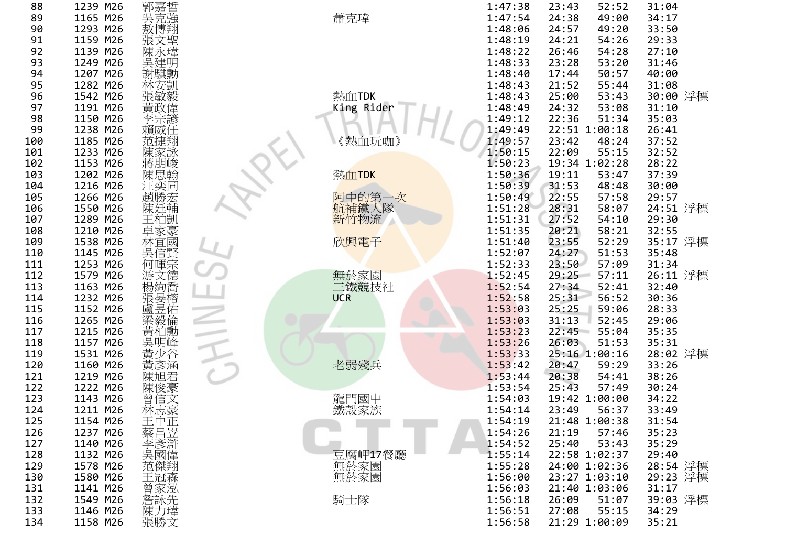| 88  | 1239 M26 |                                                                                    |                                      | 1:47:38 | 52:52<br>23:43 | 31:04                |
|-----|----------|------------------------------------------------------------------------------------|--------------------------------------|---------|----------------|----------------------|
| 89  | 1165 M26 | 郭异克博文/<br>泉克博文/<br>张                                                               | 蕭克瑋                                  | 1:47:54 | 24:38<br>49:00 | 34:17                |
| 90  | 1293 M26 |                                                                                    |                                      | 1:48:06 | 24:57<br>49:20 | 33:50                |
| 91  | 1159 M26 |                                                                                    |                                      | 1:48:19 | 24:21<br>54:26 | 29:33                |
| 92  | 1139 M26 |                                                                                    |                                      | 1:48:22 | 26:46<br>54:28 | 27:10                |
| 93  | 1249 M26 |                                                                                    |                                      | 1:48:33 | 53:20<br>23:28 | 31:46                |
| 94  | 1207 M26 | ·陳吳謝<br>謝·<br>謝·                                                                   |                                      | 1:48:40 | 50:57<br>17:44 | 40:00                |
| 95  | 1282 M26 |                                                                                    |                                      | 1:48:43 | 21:52<br>55:44 | 31:08                |
| 96  | 1542 M26 | ā林張黃李賴#<br><del>《</del> 安敏政宗威#<br>《安徽政宗威                                           | 熱血TDK                                | 1:48:43 | 53:43<br>25:00 | 30:00 浮標             |
| 97  | 1191 M26 |                                                                                    |                                      | 1:48:49 | 53:08<br>24:32 | 31:10                |
|     |          |                                                                                    | King Rider                           |         |                |                      |
| 98  | 1150 M26 |                                                                                    |                                      | 1:49:12 | 22:36<br>51:34 | 35:03                |
| 99  | 1238 M26 |                                                                                    |                                      | 1:49:49 | 22:51 1:00:18  | 26:41                |
| 100 | 1185 M26 | 范捷翔                                                                                | 《熱血玩咖》                               | 1:49:57 | 23:42<br>48:24 | 37:52                |
| 101 | 1233 M26 |                                                                                    |                                      | 1:50:15 | 55:15<br>22:09 | 32:52                |
| 102 | 1153 M26 |                                                                                    |                                      | 1:50:23 | 19:34 1:02:28  | 28:22                |
| 103 | 1202 M26 | 陳蔣朋思                                                                               | 熱血TDK                                | 1:50:36 | 19:11<br>53:47 | 37:39                |
| 104 | 1216 M26 |                                                                                    |                                      | 1:50:39 | 31:53<br>48:48 | 30:00                |
| 105 | 1266 M26 | 汪奕同<br>趙勝宏                                                                         |                                      | 1:50:49 | 22:55<br>57:58 | 29:57                |
| 106 | 1550 M26 | 陳廷輔                                                                                |                                      | 1:51:28 | 28:31<br>58:07 | 24:51 浮標             |
| 107 | 1289 M26 | 王柏凱                                                                                | <mark>阿中的第一次</mark><br>航補鐵人隊<br>新竹物流 | 1:51:31 | 27:52<br>54:10 | 29:30                |
| 108 | 1210 M26 |                                                                                    |                                      | 1:51:35 | 58:21<br>20:21 | 32:55                |
| 109 | 1538 M26 |                                                                                    | 欣興電子                                 | 1:51:40 | 52:29<br>23:55 | 35:17 浮標             |
| 110 | 1145 M26 |                                                                                    |                                      | 1:52:07 | 51:53<br>24:27 | 35:48                |
| 111 | 1253 M26 | 工卓林吳何游楊張盧莎伯家宜信暉文絢晏昱恕就豪國賢宗德喬榕佑俗                                                     |                                      | 1:52:33 | 23:50<br>57:09 | 31:34                |
| 112 | 1579 M26 |                                                                                    | 無菸家園<br>三鐵競技社                        | 1:52:45 | 29:25<br>57:11 | 26:11 浮標             |
| 113 | 1163 M26 |                                                                                    |                                      | 1:52:54 | 27:34<br>52:41 | 32:40                |
| 114 | 1232 M26 |                                                                                    | <b>UCR</b>                           | 1:52:58 | 25:31<br>56:52 | 30:36                |
| 115 | 1152 M26 |                                                                                    |                                      | 1:53:03 | 25:25<br>59:06 | 28:33                |
| 116 | 1265 M26 |                                                                                    |                                      | 1:53:03 | 31:13<br>52:45 | 29:06                |
| 117 | 1215 M26 | 深毅倫<br>黃柏勳                                                                         |                                      | 1:53:23 | 22:45<br>55:04 | 35:35                |
| 118 | 1157 M26 |                                                                                    |                                      | 1:53:26 | 26:03<br>51:53 | 35:31                |
| 119 | 1531 M26 |                                                                                    |                                      | 1:53:33 | 25:16 1:00:16  | 28:02 浮標             |
| 120 | 1160 M26 |                                                                                    | 老弱殘兵                                 | 1:53:42 | 20:47<br>59:29 | 33:26                |
| 121 | 1219 M26 | 《吳黃黃陳#                                                                             |                                      | 1:53:44 | 20:38<br>54:41 | 38:26                |
| 122 | 1222 M26 |                                                                                    |                                      | 1:53:54 | 25:43<br>57:49 | 30:24                |
| 123 | 1143 M26 | ·陳曾林<br>曾林<br><br><br><br><br><br><br><br><br><br><br><br><br><br><br><br><br><br> |                                      | 1:54:03 | 19:42 1:00:00  | 34:22                |
| 124 | 1211 M26 |                                                                                    | 龍門國中<br>鐵殼家族                         | 1:54:14 | 23:49<br>56:37 | 33:49                |
| 125 | 1154 M26 |                                                                                    |                                      | 1:54:19 | 21:48 1:00:38  | 31:54                |
| 126 | 1237 M26 |                                                                                    |                                      | 1:54:26 | 57:46<br>21:19 | 35:23                |
| 127 | 1140 M26 |                                                                                    |                                      | 1:54:52 | 53:43<br>25:40 | 35:29                |
| 128 | 1132 M26 |                                                                                    | 豆腐岬17餐廳                              | 1:55:14 | 22:58 1:02:37  | 29:40                |
|     |          |                                                                                    |                                      |         | 24:00 1:02:36  |                      |
| 129 | 1578 M26 |                                                                                    | 無菸家園                                 | 1:55:28 | 23:27 1:03:10  | 28:54 浮標<br>29:23 浮標 |
| 130 | 1580 M26 |                                                                                    | 無菸家園                                 | 1:56:00 |                |                      |
| 131 | 1141 M26 |                                                                                    |                                      | 1:56:03 | 21:40 1:03:06  | 31:17                |
| 132 | 1549 M26 |                                                                                    | 騎士隊                                  | 1:56:18 | 51:07<br>26:09 | 39:03 浮標             |
| 133 | 1146 M26 | ₩王蔡李吳范王曾詹陳彊卒申昌彥國傑冠家詠力晞*正岦滸偉翔森泓先瑋↑                                                  |                                      | 1:56:51 | 55:15<br>27:08 | 34:29                |
| 134 | 1158 M26 | 張勝文                                                                                |                                      | 1:56:58 | 21:29 1:00:09  | 35:21                |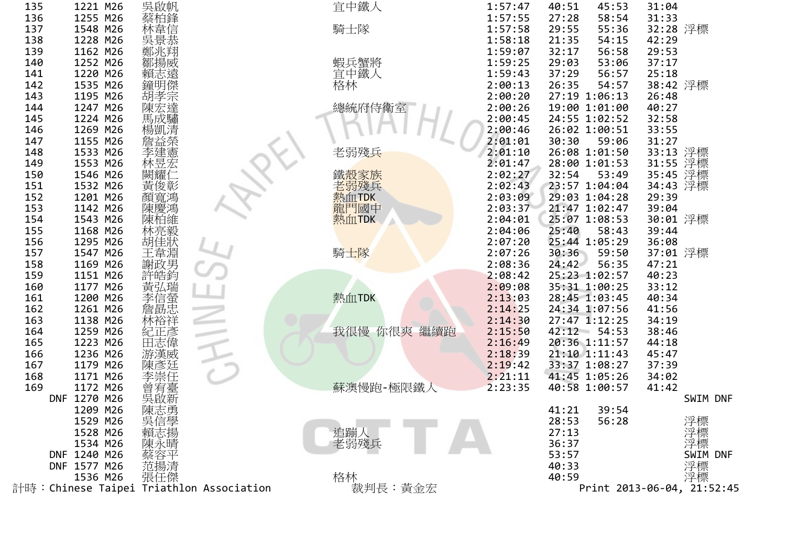| 135        | 1221 M26             | 吳啟帆                   |                                         | 宜中鐵人         | 1:57:47            | 40:51                          | 45:53 | 31:04          |                            |
|------------|----------------------|-----------------------|-----------------------------------------|--------------|--------------------|--------------------------------|-------|----------------|----------------------------|
| 136        | 1255 M26             | 蔡柏鋒                   |                                         |              | 1:57:55            | 27:28                          | 58:54 | 31:33          |                            |
| 137        | 1548 M26             |                       |                                         | 騎士隊          | 1:57:58            | 29:55                          | 55:36 | 32:28 浮標       |                            |
| 138        | 1228 M26             | 祭林吳鄭鄒賴鐘胡陳馬仲韋景兆揚志明孝宏虛, |                                         |              | 1:58:18            | 21:35                          | 54:15 | 42:29          |                            |
| 139        | 1162 M26             |                       |                                         |              | 1:59:07            | 32:17                          | 56:58 | 29:53          |                            |
| 140        | 1252 M26             |                       |                                         | 蝦兵蟹將<br>宜中鐵人 | 1:59:25            | 29:03                          | 53:06 | 37:17          |                            |
| 141        | 1220 M26             |                       |                                         |              | 1:59:43            | 37:29                          | 56:57 | 25:18          |                            |
| 142        | 1535 M26             |                       |                                         | 格林           | 2:00:13            | 26:35                          | 54:57 | 38:42 浮標       |                            |
| 143        | 1195 M26             |                       |                                         |              | 2:00:20            | 27:19 1:06:13                  |       | 26:48          |                            |
| 144        | 1247 M26             |                       |                                         | 總統府侍衛室       | 2:00:26            | 19:00 1:01:00                  |       | 40:27          |                            |
| 145        | 1224 M26             | 馬成驌                   |                                         |              | 2:00:45            | 24:55 1:02:52                  |       | 32:58          |                            |
| 146        | 1269 M26             |                       |                                         |              | 2:00:46            | 26:02 1:00:51                  |       | 33:55          |                            |
| 147        | 1155 M26             | 詹益榮                   |                                         |              | 2:01:01            | 30:30                          | 59:06 | 31:27          |                            |
| 148        | 1533 M26             | 李建憲                   |                                         | 老弱殘兵         | 2:01:10            | 26:08 1:01:50                  |       | 33:13 浮標       |                            |
| 149        | 1553 M26             | 林昱宏                   |                                         |              | 2:01:47            | 28:00 1:01:53                  |       | 31:55          | 浮標                         |
| 150        | 1546 M26             | 闕耀イ                   |                                         | 鐵殼家族         | 2:02:27            | 32:54                          | 53:49 | 35:45          | 浮標                         |
| 151        | 1532 M26             | 黃俊彰                   |                                         | 老弱殘兵         | 2:02:43            | 23:57 1:04:04                  |       | 34:43          | 浮標                         |
| 152        | 1201 M26             | 顏寬鴻                   |                                         | 熱血TDK        | 2:03:09            | 29:03 1:04:28                  |       | 29:39          |                            |
| 153        | 1142 M26             | 陳慶鴻                   |                                         | 龍門國中         | 2:03:37            | 21:47 1:02:47                  |       | 39:04          |                            |
| 154        | 1543 M26             | 陳柏維<br>林亮毅            |                                         | 熱血TDK        | 2:04:01            | 25:07 1:08:53                  |       | 30:01 浮標       |                            |
| 155        | 1168 M26             |                       |                                         |              | 2:04:06            | 25:40                          | 58:43 | 39:44          |                            |
| 156        | 1295 M26             | 胡佳狀                   |                                         |              | 2:07:20            | 25:44 1:05:29                  |       | 36:08          |                            |
| 157        | 1547 M26             | 王韋淵                   |                                         | 騎士隊          | 2:07:26            | 30:36                          | 59:50 | 37:01 浮標       |                            |
| 158        | 1169 M26             | 謝政男<br>許皓鈞            |                                         |              | 2:08:36            | 24:42                          | 56:35 | 47:21          |                            |
| 159        | 1151 M26             |                       |                                         |              | 2:08:42            | 25:23 1:02:57                  |       | 40:23          |                            |
| 160        | 1177 M26             | 黃弘瑞                   |                                         |              | 2:09:08            | 35:31 1:00:25                  |       | 33:12          |                            |
| 161        | 1200 M26             | (李信螢<br>詹·勗忠          |                                         | 熱血TDK        | 2:13:03            | 28:45 1:03:45                  |       | 40:34          |                            |
| 162        | 1261 M26             |                       |                                         |              | 2:14:25            | 24:34 1:07:56                  |       | 41:56          |                            |
| 163        | 1138 M26             | 林裕祥                   |                                         |              | 2:14:30            | $27:47$ 1:12:25                |       | 34:19          |                            |
| 164        | 1259 M26<br>1223 M26 | 紀正彥<br>田志偉            |                                         | 我很慢 你很爽 繼續跑  | 2:15:50            | $42:12$ 54:53<br>20:36 1:11:57 |       | 38:46          |                            |
| 165<br>166 | 1236 M26             | 游漢威                   |                                         |              | 2:16:49<br>2:18:39 | 21:10 1:11:43                  |       | 44:18<br>45:47 |                            |
| 167        | 1179 M26             | 陳彥廷                   |                                         |              | 2:19:42            | 33:37 1:08:27                  |       | 37:39          |                            |
| 168        | 1171 M26             |                       |                                         |              | 2:21:11            | 41:45 1:05:26                  |       | 34:02          |                            |
| 169        | 1172 M26             |                       |                                         | 蘇澳慢跑-極限鐵人    | 2:23:35            | 40:58 1:00:57                  |       | 41:42          |                            |
|            | DNF 1270 M26         | "李.常有啟                |                                         |              |                    |                                |       |                | SWIM DNF                   |
|            | 1209 M26             | 陳志勇                   |                                         |              |                    | 41:21                          | 39:54 |                |                            |
|            | 1529 M26             |                       |                                         |              |                    | 28:53                          | 56:28 |                |                            |
|            | 1528 M26             |                       |                                         | 追蹦人          |                    | 27:13                          |       |                |                            |
|            | 1534 M26             | 吳信學<br>賴志揚<br>陳永晴     |                                         | 老弱殘兵         |                    | 36:37                          |       |                | 浮標標<br>浮浮標                 |
|            | DNF 1240 M26         |                       |                                         |              |                    | 53:57                          |       |                | SWIM DNF                   |
|            | DNF 1577 M26         |                       |                                         |              |                    | 40:33                          |       |                | 浮標                         |
|            | 1536 M26             | 范揚清<br>張任傑            |                                         | 格林           |                    | 40:59                          |       |                | 浮標                         |
|            |                      |                       | 計時:Chinese Taipei Triathlon Association | 裁判長:黃金宏      |                    |                                |       |                | Print 2013-06-04, 21:52:45 |
|            |                      |                       |                                         |              |                    |                                |       |                |                            |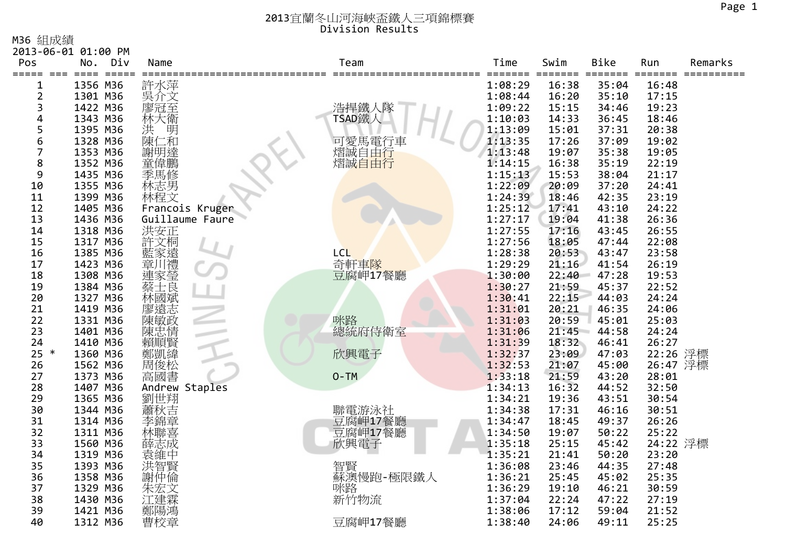M36 組成績

|              | 2013-06-01 01:00 PM                     |                                                                                                        |            |                 |                  |               |               |         |
|--------------|-----------------------------------------|--------------------------------------------------------------------------------------------------------|------------|-----------------|------------------|---------------|---------------|---------|
| Pos<br>===== | Div<br>No.<br>$=$ $=$ $=$ $=$<br>$====$ | Name                                                                                                   | Team       | Time            | Swim             | <b>Bike</b>   | Run<br>====== | Remarks |
| $==$         | 1356 M36                                | 許水萍                                                                                                    |            | ====<br>1:08:29 | =======<br>16:38 | ====<br>35:04 | $=$<br>16:48  |         |
| 2            | 1301 M36                                | 吳介文                                                                                                    |            | 1:08:44         | 16:20            | 35:10         | 17:15         |         |
| 3            | 1422 M36                                | 廖冠至                                                                                                    | 浩捍鐵人隊      | 1:09:22         | 15:15            | 34:46         | 19:23         |         |
| 4            | 1343 M36                                |                                                                                                        | TSAD鐵人     | 1:10:03         | 14:33            | 36:45         | 18:46         |         |
| 5            | 1395 M36                                | 林大衛<br>洪<br>洪                                                                                          |            | 1:13:09         | 15:01            | 37:31         | 20:38         |         |
| 6            | 1328 M36                                | 陳(<br>1和                                                                                               | 可愛馬電行車     | 1:13:35         | 17:26            | 37:09         | 19:02         |         |
| 7            | 1353 M36                                | 謝明達                                                                                                    | 熠誠自由行      | 1:13:48         | 19:07            | 35:38         | 19:05         |         |
| 8            | 1352 M36                                | 童偉鵬                                                                                                    | 熠誠自由行      | 1:14:15         | 16:38            | 35:19         | 22:19         |         |
| 9            | 1435 M36                                | 季馬修                                                                                                    |            | 1:15:13         | 15:53            | 38:04         | 21:17         |         |
| 10           | 1355 M36                                | 林志男                                                                                                    |            | 1:22:09         | 20:09            | 37:20         | 24:41         |         |
| 11           | 1399 M36                                | 林程文                                                                                                    |            | 1:24:39         | 18:46            | 42:35         | 23:19         |         |
| 12           | 1405 M36                                | Francois Kruger                                                                                        |            | 1:25:12         | 17:41            | 43:10         | 24:22         |         |
| 13           | 1436 M36                                | Guillaume Faure                                                                                        |            | 1:27:17         | 19:04            | 41:38         | 26:36         |         |
| 14           | 1318 M36                                | 洪安正                                                                                                    |            | 1:27:55         | 17:16            | 43:45         | 26:55         |         |
| 15           | 1317 M36                                | 許文桐                                                                                                    |            | 1:27:56         | 18:05            | 47:44         | 22:08         |         |
| 16           | 1385 M36                                |                                                                                                        | <b>LCL</b> | 1:28:38         | 20:53            | 43:47         | 23:58         |         |
| 17           | 1423 M36                                | ·藍章連蔡士<br><br><br><br><br><br><br><br><br><br><br><br><br><br><br><br><br><br><br><br><br><br><br><br> | 奇軒車隊       | 1:29:29         | 21:16            | 41:54         | 26:19         |         |
| 18           | 1308 M36                                |                                                                                                        | 豆腐岬17餐廳    | 1:30:00         | 22:40            | 47:28         | 19:53         |         |
| 19           | 1384 M36                                |                                                                                                        |            | 1:30:27         | 21:59            | 45:37         | 22:52         |         |
| 20           | 1327 M36                                | ·林廖遠敏<br>陳遠敏<br>陳                                                                                      |            | 1:30:41         | 22:15            | 44:03         | 24:24         |         |
| 21           | 1419 M36                                |                                                                                                        |            | 1:31:01         | 20:21            | 46:35         | 24:06         |         |
| 22           | 1331 M36                                |                                                                                                        | 咪路         | 1:31:03         | 20:59            | 45:01         | 25:03         |         |
| 23           | 1401 M36                                | 陳忠情                                                                                                    | 總統府侍衛室     | 1:31:06         | 21:45            | 44:58         | 24:24         |         |
| 24           | 1410 M36                                | 賴順賢                                                                                                    |            | 1:31:39         | 18:32            | 46:41         | 26:27         |         |
| $25 *$       | 1360 M36                                | 鄭凱緯                                                                                                    | 欣興電子       | 1:32:37         | 23:09            | 47:03         | 22:26 浮標      |         |
| 26           | 1562 M36                                |                                                                                                        |            | 1:32:53         | 21:07            | 45:00         | 26:47 浮標      |         |
| 27           | 1373 M36                                | 高國書                                                                                                    | $O-TM$     | 1:33:18         | 21:59            | 43:20         | 28:01         |         |
| 28           | 1407 M36                                | Andrew Staples                                                                                         |            | 1:34:13         | 16:32            | 44:52         | 32:50         |         |
| 29           | 1365 M36                                | 劉世翔                                                                                                    |            | 1:34:21         | 19:36            | 43:51         | 30:54         |         |
| 30           | 1344 M36                                | 蕭秋吉                                                                                                    | 聯電游泳社      | 1:34:38         | 17:31            | 46:16         | 30:51         |         |
| 31           | 1314 M36                                |                                                                                                        | 豆腐岬17餐廳    | 1:34:47         | 18:45            | 49:37         | 26:26         |         |
| 32           | 1311 M36                                | 林聯喜                                                                                                    | 豆腐岬17餐廳    | 1:34:50         | 19:07            | 50:22         | 25:22         |         |
| 33           | 1560 M36                                | 薛志成                                                                                                    | 欣興電子       | 1:35:18         | 25:15            | 45:42         | 24:22 浮標      |         |
| 34           | 1319 M36                                | 袁維中                                                                                                    |            | 1:35:21         | 21:41            | 50:20         | 23:20         |         |
| 35           | 1393 M36                                | 洪智賢                                                                                                    | 智賢         | 1:36:08         | 23:46            | 44:35         | 27:48         |         |
| 36           | 1358 M36                                |                                                                                                        | 蘇澳慢跑-極限鐵人  | 1:36:21         | 25:45            | 45:02         | 25:35         |         |
| 37           | 1329 M36                                | 朱宏文                                                                                                    | 联路<br>新竹物流 | 1:36:29         | 19:10            | 46:21         | 30:59         |         |
| 38           | 1430 M36                                |                                                                                                        |            | 1:37:04         | 22:24            | 47:22         | 27:19         |         |
| 39           | 1421 M36                                | 鄭陽鴻                                                                                                    |            | 1:38:06         | 17:12            | 59:04         | 21:52         |         |
| 40           | 1312 M36                                | 曹校章                                                                                                    | 豆腐岬17餐廳    | 1:38:40         | 24:06            | 49:11         | 25:25         |         |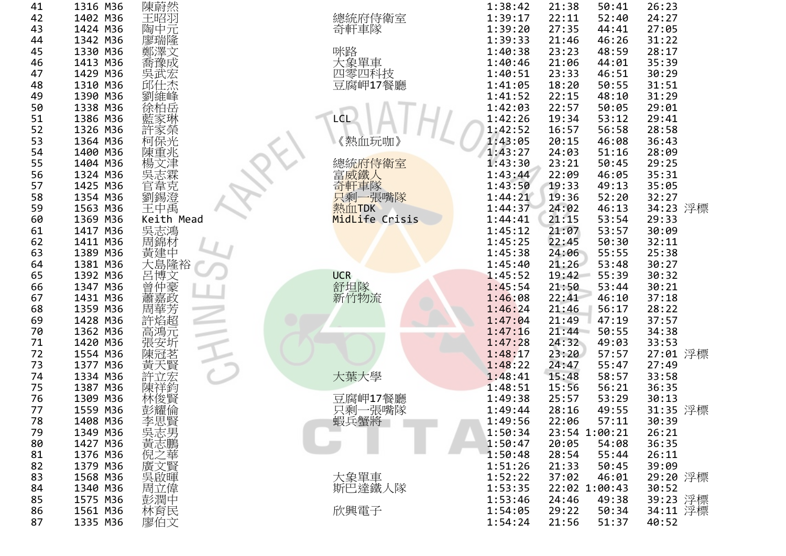| 41 | 1316 M36 | 陳蔚然                               |                | 1:38:42 | 21:38<br>50:41 | 26:23    |  |
|----|----------|-----------------------------------|----------------|---------|----------------|----------|--|
| 42 | 1402 M36 | 王昭羽                               | 總統府侍衛室         | 1:39:17 | 22:11<br>52:40 | 24:27    |  |
| 43 | 1424 M36 | 陶中元                               | 奇軒車隊           | 1:39:20 | 27:35<br>44:41 | 27:05    |  |
| 44 | 1342 M36 |                                   |                | 1:39:33 | 21:46<br>46:26 | 31:22    |  |
| 45 | 1330 M36 | 廖瑞隆<br>鄭澤文                        | 咪路             | 1:40:38 | 23:23<br>48:59 | 28:17    |  |
| 46 | 1413 M36 | 喬豫成                               | 大象單車           | 1:40:46 | 21:06<br>44:01 | 35:39    |  |
| 47 | 1429 M36 |                                   | 四零四科技          | 1:40:51 | 23:33<br>46:51 | 30:29    |  |
| 48 | 1310 M36 | :吴武宏<br>邱仕杰                       | 豆腐岬17餐廳        | 1:41:05 | 18:20<br>50:55 | 31:51    |  |
| 49 | 1390 M36 | 劉維峰                               |                | 1:41:52 | 22:15<br>48:10 | 31:29    |  |
| 50 | 1338 M36 | 徐柏岳                               |                | 1:42:03 | 22:57<br>50:05 | 29:01    |  |
| 51 | 1386 M36 | 藍家琳                               | LCL            | 1:42:26 | 19:34<br>53:12 | 29:41    |  |
| 52 | 1326 M36 |                                   |                | 1:42:52 | 16:57<br>56:58 | 28:58    |  |
| 53 | 1364 M36 | 許家榮<br>柯保光                        | 《熱血玩咖》         | 1:43:05 | 20:15<br>46:08 | 36:43    |  |
| 54 | 1400 M36 | 陳重兆                               |                | 1:43:27 | 24:03<br>51:16 | 28:09    |  |
| 55 | 1404 M36 | 楊文津                               | 總統府侍衛室         | 1:43:30 | 23:21<br>50:45 | 29:25    |  |
| 56 | 1324 M36 |                                   | 富威鐵人           | 1:43:44 | 22:09<br>46:05 | 35:31    |  |
| 57 | 1425 M36 |                                   | 奇軒車隊           | 1:43:50 | 19:33<br>49:13 | 35:05    |  |
| 58 | 1354 M36 | B吳高韋錫士<br>(太太)<br>(太太)            | 只剩一張嘴隊         | 1:44:21 | 19:36<br>52:20 | 32:27    |  |
| 59 | 1563 M36 | 王中禹                               | 熱血TDK          | 1:44:37 | 24:02<br>46:13 | 34:23 浮標 |  |
| 60 | 1369 M36 | Keith Mead                        | MidLife Crisis | 1:44:41 | 21:15<br>53:54 | 29:33    |  |
| 61 | 1417 M36 |                                   |                | 1:45:12 | 53:57<br>21:07 | 30:09    |  |
| 62 | 1411 M36 | 心吳周黃大I,f:鴻材中隆i,<br>志錦建島!<br>大!    |                | 1:45:25 | 22:45<br>50:30 | 32:11    |  |
| 63 | 1389 M36 |                                   |                | 1:45:38 | 55:55<br>24:06 | 25:38    |  |
| 64 | 1381 M36 |                                   |                | 1:45:40 | 21:26<br>53:48 | 30:27    |  |
| 65 | 1392 M36 |                                   | <b>UCR</b>     | 1:45:52 | 55:39<br>19:42 | 30:32    |  |
| 66 | 1347 M36 |                                   |                | 1:45:54 | 21:50<br>53:44 | 30:21    |  |
| 67 | 1431 M36 |                                   | 舒坦隊<br>新竹物流    | 1:46:08 | 22:41<br>46:10 | 37:18    |  |
| 68 | 1359 M36 |                                   |                | 1:46:24 | 21:46<br>56:17 | 28:22    |  |
| 69 | 1428 M36 |                                   |                | 1:47:04 | 21:49<br>47:19 | 37:57    |  |
| 70 | 1362 M36 | 《呂曾蕭周許高晋博仲嘉華焰鴻宗』(文豪政芳超元)          |                | 1:47:16 | 21:44<br>50:55 | 34:38    |  |
| 71 | 1420 M36 | 張安圻                               |                | 1:47:28 | 24:32<br>49:03 | 33:53    |  |
| 72 | 1554 M36 |                                   |                | 1:48:17 | 23:20<br>57:57 | 27:01 浮標 |  |
| 73 | 1377 M36 |                                   |                | 1:48:22 | 24:47<br>55:47 | 27:49    |  |
| 74 | 1334 M36 | 陳黃天立宏                             | 大葉大學           | 1:48:41 | 15:48<br>58:57 | 33:58    |  |
| 75 | 1387 M36 | 陳祥鈞<br>林俊賢                        |                | 1:48:51 | 15:56<br>56:21 | 36:35    |  |
| 76 | 1309 M36 |                                   | 豆腐岬17餐廳        | 1:49:38 | 53:29<br>25:57 | 30:13    |  |
| 77 | 1559 M36 | 彭耀倫                               | 只剩一張嘴隊         | 1:49:44 | 28:16<br>49:55 | 31:35 浮標 |  |
| 78 | 1408 M36 |                                   | 蝦兵蟹將           | 1:49:56 | 22:06<br>57:11 | 30:39    |  |
| 79 | 1349 M36 |                                   |                | 1:50:34 | 23:54 1:00:21  | 26:21    |  |
| 80 | 1427 M36 |                                   |                | 1:50:47 | 20:05<br>54:08 | 36:35    |  |
| 81 | 1376 M36 |                                   |                | 1:50:48 | 28:54<br>55:44 | 26:11    |  |
| 82 | 1379 M36 | à李吳黃倪廣吳周彭拉 <sup>雁思志志之</sup> 文啟立潤奈 |                | 1:51:26 | 21:33<br>50:45 | 39:09    |  |
| 83 | 1568 M36 |                                   | 大象單車           | 1:52:22 | 37:02<br>46:01 | 29:20 浮標 |  |
| 84 | 1340 M36 |                                   | 斯巴達鐵人隊         | 1:53:35 | 22:02 1:00:43  | 30:52    |  |
| 85 | 1575 M36 |                                   |                | 1:53:46 | 24:46<br>49:38 | 39:23 浮標 |  |
| 86 | 1561 M36 | 林育民                               | 欣興電子           | 1:54:05 | 29:22<br>50:34 | 34:11 浮標 |  |
| 87 | 1335 M36 | 廖伯文                               |                | 1:54:24 | 21:56<br>51:37 | 40:52    |  |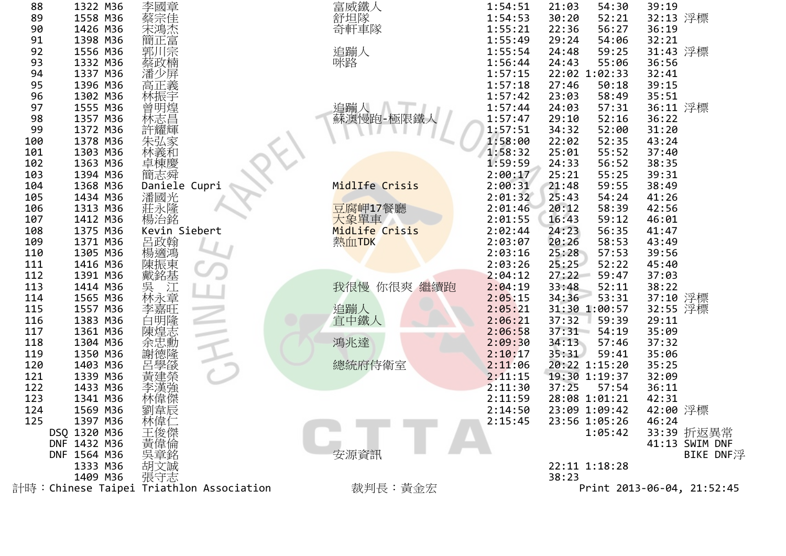| 122<br>123<br>124<br>125                 | 1433 M36<br>1341 M36<br>1569 M36<br>1397 M36<br>DSQ 1320 M36<br>DNF 1432 M36     | 林偉傑<br>劉韋辰<br>林偉仁<br>王俊傑<br>黃偉倫                   |                                 | 2:11:30<br>2:11:59<br>2:14:50<br>2:15:45                                  | 37:25<br>57:54<br>28:08 1:01:21<br>23:09 1:09:42<br>23:56 1:05:26<br>1:05:42                                               | 36:11<br>42:31<br>42:00 浮標<br>46:24<br>33:39 折返異常<br>41:13 SWIM DNF |
|------------------------------------------|----------------------------------------------------------------------------------|---------------------------------------------------|---------------------------------|---------------------------------------------------------------------------|----------------------------------------------------------------------------------------------------------------------------|---------------------------------------------------------------------|
| 117<br>118<br>119<br>120<br>121          | 1361 M36<br>1304 M36<br>1350 M36<br>1403 M36<br>1339 M36                         | 陳煌志<br>余忠勳<br>謝德隆<br>呂學燄                          | 鴻兆達<br>總統府侍衛室                   | 2:06:58<br>2:09:30<br>2:10:17<br>2:11:06<br>2:11:15                       | 37:31<br>54:19<br>34:13<br>57:46<br>35:31<br>59:41<br>20:22 1:15:20<br>19:30 1:19:37                                       | 35:09<br>37:32<br>35:06<br>35:25<br>32:09                           |
| 112<br>113<br>114<br>115<br>116          | 1391 M36<br>1414 M36<br>1565 M36<br>1557 M36<br>1383 M36                         | 戴銘基<br>《吳林李白#1                                    | 我很慢<br>你很爽 繼續跑<br>追蹦人<br>宜中鐵人   | 2:04:12<br>2:04:19<br>2:05:15<br>2:05:21<br>2:06:21                       | 27:22<br>59:47<br>33:48<br>52:11<br>34:36<br>53:31<br>31:30 1:00:57<br>37:32<br>59:39                                      | 37:03<br>38:22<br>37:10 浮標<br>32:55 浮標<br>29:11                     |
| 107<br>108<br>109<br>110<br>111          | 1412 M36<br>1375 M36<br>1371 M36<br>1305 M36<br>1416 M36                         | Kevin Siebert<br>呂政翰<br>楊適鴻<br>陳振東                | 大象單車<br>MidLife Crisis<br>熱血TDK | 2:01:55<br>2:02:44<br>2:03:07<br>2:03:16<br>2:03:26                       | 16:43<br>59:12<br>56:35<br>24:23<br>20:26<br>58:53<br>25:28<br>57:53<br>25:25<br>52:22                                     | 46:01<br>41:47<br>43:49<br>39:56<br>45:40                           |
| 102<br>103<br>104<br>105<br>106          | 1363 M36<br>1394 M36<br>1368 M36<br>1434 M36<br>1313 M36                         | 卓棟慶<br>簡志舜<br>Daniele Cupri<br>潘國光<br>·莊永隆<br>楊治銘 | MidlIfe Crisis<br>豆腐岬17餐廳       | 1:59:59<br>2:00:17<br>2:00:31<br>2:01:32<br>2:01:46                       | 24:33<br>56:52<br>25:21<br>55:25<br>21:48<br>59:55<br>25:43<br>54:24<br>20:12<br>58:39                                     | 38:35<br>39:31<br>38:49<br>41:26<br>42:56                           |
| 95<br>96<br>97<br>98<br>99<br>100<br>101 | 1396 M36<br>1302 M36<br>1555 M36<br>1357 M36<br>1372 M36<br>1378 M36<br>1303 M36 | 高正義<br>林振宇<br>曾明煌<br>林志昌<br>許耀輝<br>朱弘家<br>林義和     | 追蹦人<br>蘇澳慢跑-極限鐵人                | 1:57:18<br>1:57:42<br>1:57:44<br>1:57:47<br>1:57:51<br>1:58:00<br>1:58:32 | 27:46<br>50:18<br>23:03<br>58:49<br>24:03<br>57:31<br>29:10<br>52:16<br>34:32<br>52:00<br>22:02<br>52:35<br>25:01<br>55:52 | 39:15<br>35:51<br>36:11 浮標<br>36:22<br>31:20<br>43:24<br>37:40      |
| 89<br>90<br>91<br>92<br>93<br>94         | 1558 M36<br>1426 M36<br>1398 M36<br>1556 M36<br>1332 M36<br>1337 M36             | 蔡宗佳<br>宋鴻杰<br>簡正<br><br>·郭川宗<br>蔡政楠<br>潘少屏        | 舒坦隊<br>奇軒車隊<br>追蹦人<br>咪路        | 1:54:53<br>1:55:21<br>1:55:49<br>1:55:54<br>1:56:44<br>1:57:15            | 30:20<br>52:21<br>22:36<br>56:27<br>29:24<br>54:06<br>24:48<br>59:25<br>24:43<br>55:06<br>22:02 1:02:33                    | 32:13 浮標<br>36:19<br>32:21<br>31:43 浮標<br>36:56<br>32:41            |
| 88                                       | 1322 M36                                                                         | 李國章                                               | 富威鐵人                            | 1:54:51                                                                   | 21:03<br>54:30                                                                                                             | 39:19                                                               |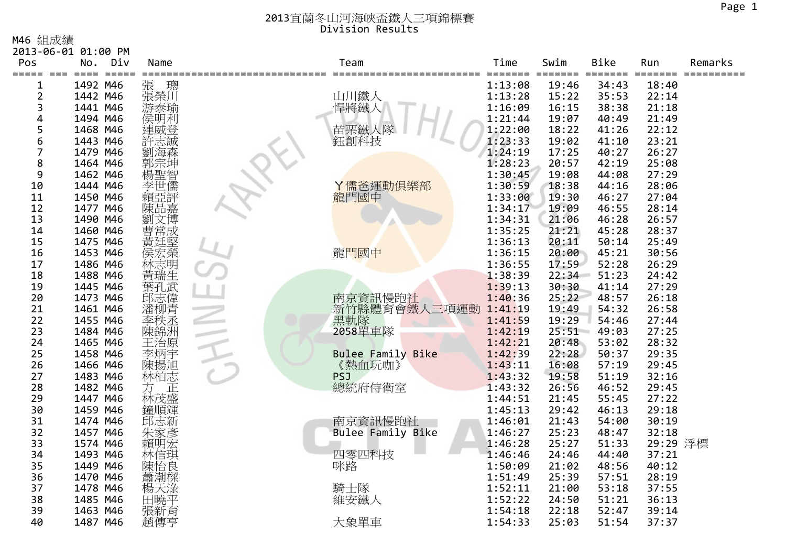M46 組成績

|                | 2013-06-01 01:00 PM |          |                    |                          |                    |                          |             |                                  |         |
|----------------|---------------------|----------|--------------------|--------------------------|--------------------|--------------------------|-------------|----------------------------------|---------|
| Pos            | No.                 | Div      | Name               | Team                     | Time               | Swim                     | <b>Bike</b> | Run                              | Remarks |
| ===== ===<br>1 |                     | 1492 M46 | 張<br>璁             | ====== ========          | =======<br>1:13:08 | ======= =======<br>19:46 | 34:43       | $=$ $=$ $=$ $=$ $=$ $=$<br>18:40 |         |
| $\overline{2}$ |                     | 1442 M46 | 張榮川                | 山川鐵人                     | 1:13:28            | 15:22                    | 35:53       | 22:14                            |         |
| 3              |                     | 1441 M46 | 游泰瑜                | 悍將鐵人                     | 1:16:09            | 16:15                    | 38:38       | 21:18                            |         |
| 4              |                     | 1494 M46 | 侯明利                |                          | 1:21:44            | 19:07                    | 40:49       | 21:49                            |         |
| 5              |                     | 1468 M46 | 連威登                | 苗栗鐵人隊                    | 1:22:00            | 18:22                    | 41:26       | 22:12                            |         |
| 6              |                     | 1443 M46 |                    | 鈺創科技                     | 1:23:33            | 19:02                    | 41:10       | 23:21                            |         |
| 7              |                     | 1479 M46 |                    |                          | 1:24:19            | 17:25                    | 40:27       | 26:27                            |         |
| 8              |                     | 1464 M46 |                    |                          | 1:28:23            | 20:57                    | 42:19       | 25:08                            |         |
| 9              |                     | 1462 M46 | 暂                  |                          | 1:30:45            | 19:08                    | 44:08       | 27:29                            |         |
| 10             |                     | 1444 M46 | 李世儒                | Y儒爸運動倶樂部                 | 1:30:59            | 18:38                    | 44:16       | 28:06                            |         |
| 11             |                     | 1450 M46 |                    | 龍門國中                     | 1:33:00            | 19:30                    | 46:27       | 27:04                            |         |
| 12             |                     | 1477 M46 | 陳<br>品嘉            |                          | 1:34:17            | 19:09                    | 46:55       | 28:14                            |         |
| 13             |                     | 1490 M46 | 劉文博                |                          | 1:34:31            | 21:06                    | 46:28       | 26:57                            |         |
| 14             |                     | 1460 M46 | 曹常成                |                          | 1:35:25            | 21:21                    | 45:28       | 28:37                            |         |
| 15             |                     | 1475 M46 |                    |                          | 1:36:13            | 20:11                    | 50:14       | 25:49                            |         |
| 16             |                     | 1453 M46 | 黃廷堅<br>侯宏榮         | 龍門國中                     | 1:36:15            | 20:00                    | 45:21       | 30:56                            |         |
| 17             |                     | 1486 M46 | ·林黃瑞生武<br>葉和<br>葉和 |                          | 1:36:55            | 17:59                    | 52:28       | 26:29                            |         |
| 18             |                     | 1488 M46 |                    |                          | 1:38:39            | 22:34                    | 51:23       | 24:42                            |         |
| 19             |                     | 1445 M46 |                    |                          | 1:39:13            | 30:30                    | 41:14       | 27:29                            |         |
| 20             |                     | 1473 M46 | 武志偉青               | 南京資訊慢跑社                  | 1:40:36            | 25:22                    | 48:57       | 26:18                            |         |
| 21             |                     | 1461 M46 |                    | 新竹縣體育會鐵人三項運動             | 1:41:19            | 19:49                    | 54:32       | 26:58                            |         |
| 22             |                     | 1455 M46 | 李秩丞                | 黑軌隊                      | 1:41:59            | 19:29                    | 54:46       | 27:44                            |         |
| 23             |                     | 1484 M46 | 陳錦洲                | 2058單車隊                  | 1:42:19            | 25:51                    | 49:03       | 27:25                            |         |
| 24             |                     | 1465 M46 | 王治原                |                          | 1:42:21            | 20:48                    | 53:02       | 28:32                            |         |
| 25             |                     | 1458 M46 | 李炳宇<br>陳揚旭         | <b>Bulee Family Bike</b> | 1:42:39            | 22:28                    | 50:37       | 29:35                            |         |
| 26             |                     | 1466 M46 |                    | 《熱血玩咖》                   | 1:43:11            | 16:08                    | 57:19       | 29:45                            |         |
| 27             |                     | 1483 M46 | 林柏志                | <b>PSJ</b>               | 1:43:32            | 19:58                    | 51:19       | 32:16                            |         |
| 28             |                     | 1482 M46 | 方<br>林茂盛<br>林茂盛    | 總統府侍衛室                   | 1:43:32            | 26:56                    | 46:52       | 29:45                            |         |
| 29             |                     | 1447 M46 |                    |                          | 1:44:51            | 21:45                    | 55:45       | 27:22                            |         |
| 30             |                     | 1459 M46 | 鐘順輝                |                          | 1:45:13            | 29:42                    | 46:13       | 29:18                            |         |
| 31             |                     | 1474 M46 | 邱志新                | 南京資訊慢跑社                  | 1:46:01            | 21:43                    | 54:00       | 30:19                            |         |
| 32             |                     | 1457 M46 | 朱家彥                | Bulee Family Bike        | 1:46:27            | 25:23                    | 48:47       | 32:18                            |         |
| 33             |                     | 1574 M46 | 賴明宏                |                          | 1:46:28            | 25:27                    | 51:33       | 29:29 浮標                         |         |
| 34             |                     | 1493 M46 | 林信琪<br>陳怡良         | 四零四科技                    | 1:46:46            | 24:46                    | 44:40       | 37:21                            |         |
| 35             |                     | 1449 M46 |                    | 咪路                       | 1:50:09            | 21:02                    | 48:56       | 40:12                            |         |
| 36             |                     | 1470 M46 | 蕭潮樑                |                          | 1:51:49            | 25:39                    | 57:51       | 28:19                            |         |
| 37             |                     | 1478 M46 | 楊天淥                | 騎士隊                      | 1:52:11            | 21:00                    | 53:18       | 37:55                            |         |
| 38             |                     | 1485 M46 | 田曉平                | 維安鐵人                     | 1:52:22            | 24:50                    | 51:21       | 36:13                            |         |
| 39             |                     | 1463 M46 | 張新育                |                          | 1:54:18            | 22:18                    | 52:47       | 39:14                            |         |
| 40             |                     | 1487 M46 | 趙傳亨                | 大象單車                     | 1:54:33            | 25:03                    | 51:54       | 37:37                            |         |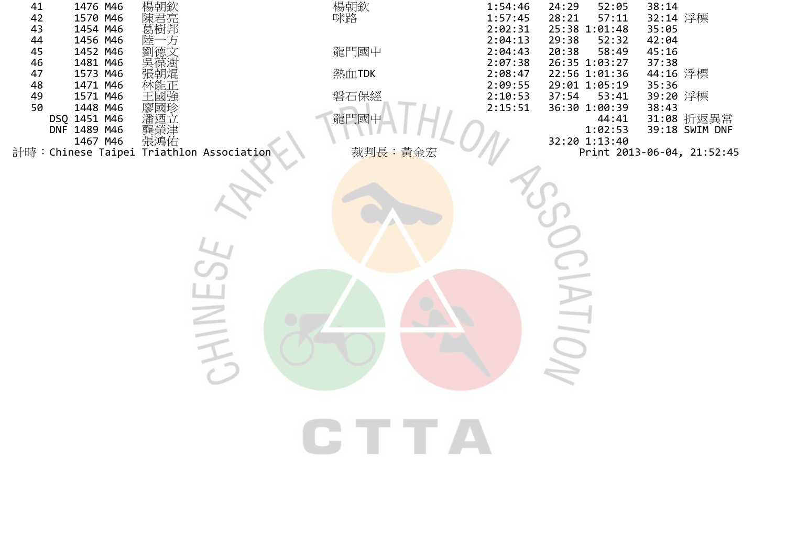| 41<br>42<br>43<br>44<br>45<br>46<br>47<br>48<br>49<br>50 | 1476 M46<br>1570 M46<br>1454 M46<br>1456 M46<br>1452 M46<br>1481 M46<br>1573 M46<br>1471 M46<br>1571 M46<br>1448 M46<br>DSQ 1451 M46<br>DNF 1489 M46   龔榮津<br>1467 M46  張鴻佑<br>計時:Chinese Taipei Triathlon Association | 楊朝欽<br>陳君亮<br>葛樹邦<br>万<br>德文<br>林能正<br>王國強<br>廖國珍<br>潘迺立 | 楊朝欽<br>咪路<br>龍門國中<br>熱血TDK<br>磐石保經<br>龍門國中<br>裁判長:黃金宏 |       | 1:54:46<br>1:57:45<br>2:02:31<br>2:04:13<br>2:04:43<br>2:07:38<br>2:08:47<br>2:09:55<br>$2:10:53$<br>$2:15:51$ | 52:05<br>24:29<br>28:21<br>57:11<br>25:38 1:01:48<br>29:38<br>52:32<br>58:49<br>20:38<br>26:35 1:03:27<br>22:56 1:01:36<br>29:01 1:05:19<br>37:54<br>53:41<br>36:30 1:00:39<br>44:41<br>1:02:53<br>32:20 1:13:40 | 38:14<br>32:14 浮標<br>35:05<br>42:04<br>45:16<br>37:38<br>44:16 浮標<br>35:36<br>39:20 浮標<br>38:43<br>31:08 折返異常<br>39:18 SWIM DNF<br>Print 2013-06-04, 21:52:45 |
|----------------------------------------------------------|------------------------------------------------------------------------------------------------------------------------------------------------------------------------------------------------------------------------|----------------------------------------------------------|-------------------------------------------------------|-------|----------------------------------------------------------------------------------------------------------------|------------------------------------------------------------------------------------------------------------------------------------------------------------------------------------------------------------------|---------------------------------------------------------------------------------------------------------------------------------------------------------------|
|                                                          |                                                                                                                                                                                                                        | WI                                                       |                                                       | T T J |                                                                                                                |                                                                                                                                                                                                                  |                                                                                                                                                               |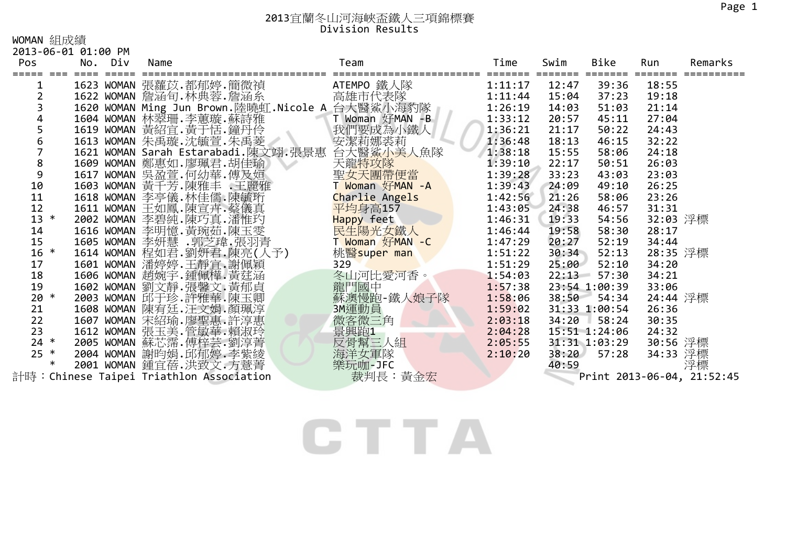WOMAN 組成績

| 2013-06-01 01:00 PM |  |  |
|---------------------|--|--|
|---------------------|--|--|

| Pos            | No. Div | Name |                                                  | Team                                                               | Time           | Swim  | Bike          | Run      | Remarks                    |
|----------------|---------|------|--------------------------------------------------|--------------------------------------------------------------------|----------------|-------|---------------|----------|----------------------------|
|                |         |      |                                                  |                                                                    | ============== |       | ====          |          |                            |
|                |         |      | 1623 WOMAN 張蘿苡.都郁婷.簡微禎                           | ATEMPO 鐵人隊                                                         | 1:11:17        | 12:47 | 39:36         | 18:55    |                            |
|                |         |      | 1622 WOMAN 詹涵旬.林典蓉.詹涵糸      高雄市代表隊               |                                                                    | 1:11:44        | 15:04 | 37:23         | 19:18    |                            |
| 3              |         |      | 1620 WOMAN Ming Jun Brown.陸曉虹.Nicole A 台大醫鯊小海豹隊  |                                                                    | 1:26:19        | 14:03 | 51:03         | 21:14    |                            |
|                |         |      | 1604 WOMAN 林翠珊.李蕙璇.蘇詩雅                           | T Woman 好MAN -B                                                    | 1:33:12        | 20:57 | 45:11         | 27:04    |                            |
| 5              |         |      | 1619 WOMAN 黃紹宜.黃于恬.鐘丹伶                           | 我們要成為小鐵人                                                           | 1:36:21        | 21:17 | 50:22         | 24:43    |                            |
| 6              |         |      | 1613 WOMAN 朱禹璇.沈毓萱.朱禹菱                           | 安潔莉娜裘莉                                                             | 1:36:48        | 18:13 | 46:15         | 32:22    |                            |
| $\overline{7}$ |         |      | 1621 WOMAN Sarah Estarabadi.陳文翊.張景惠 台大醫鯊小美人魚隊    |                                                                    | 1:38:18        | 15:55 | 58:06         | 24:18    |                            |
| 8              |         |      | 1609 WOMAN 鄭惠如.廖珮君.胡佳瑜                           | 天龍特攻隊                                                              | 1:39:10        | 22:17 | 50:51         | 26:03    |                            |
| 9              |         |      | 1617 WOMAN 吳盈萱.何幼華.傅及姮                           | 聖女天團帶便當<br>T Woman 好MAN -A                                         | 1:39:28        | 33:23 | 43:03         | 23:03    |                            |
| 10             |         |      | 1603 WOMAN 黃干芳.陳雅丰 王麗雅                           |                                                                    | 1:39:43        | 24:09 | 49:10         | 26:25    |                            |
| 11             |         |      | 1618 WOMAN 李亭儀 林佳儒 陳毓珩                           | <mark>Charlie Angels</mark><br>平均身高157                             | 1:42:56        | 21:26 | 58:06         | 23:26    |                            |
| 12             |         |      | 1611 WOMAN 王如鳳.陳宣卉.蔡儀真                           | 平均身高157                                                            | 1:43:05        | 24:38 | 46:57         | 31:31    |                            |
| $13 *$         |         |      | 2002 WOMAN 李碧純.陳巧真.潘惟玓                           | <mark>Happy</mark> feet<br>民生陽光女鐵人                                 | 1:46:31        | 19:33 | 54:56         | 32:03 浮標 |                            |
| 14             |         |      | 1616 WOMAN 李明憶.黃琬茹.陳玉雯                           |                                                                    | 1:46:44        | 19:58 | 58:30         | 28:17    |                            |
| 15             |         |      | 1605 WOMAN 李妍慧 .郭芝瑋.張羽青                          | T <mark>Woman 好MAN -C</mark>                                       | 1:47:29        | 20:27 | 52:19         | 34:44    |                            |
| $16 *$         |         |      | 1614 WOMAN 程如君.劉妍君.陳亮(人予)                        | 桃 <mark>醫super man</mark><br>???                                   | 1:51:22        | 30:34 | 52:13         | 28:35 浮標 |                            |
| 17             |         |      | 1601 WOMAN 潘婷婷.王靜宜.謝佩穎                           | 329                                                                | 1:51:29        | 25:00 | 52:10         | 34:20    |                            |
| 18             |         |      | 1606 WOMAN 趙婉宇.鍾佩樺.黃莛涵                           | 冬山河比愛河香。                                                           | 1:54:03        | 22:13 | 57:30         | 34:21    |                            |
| 19             |         |      | 1602 WOMAN 劉文靜.張馨文.黃郁貞                           | 龍門國中                                                               | 1:57:38        |       | 23:54 1:00:39 | 33:06    |                            |
| $20 *$         |         |      | 2003 WOMAN 邱于珍.許雅華.陳玉卿                           | 蘇澳慢跑-鐵人娘子隊                                                         | 1:58:06        | 38:50 | 54:34         | 24:44 浮標 |                            |
| 21             |         |      | 1608 WOMAN 陳宥廷.汪文娟.顏珮淳                           | 3M運動員                                                              | 1:59:02        |       | 31:33 1:00:54 | 26:36    |                            |
| 22             |         |      | 1607 WOMAN 宋紹瑜.廖聖惠.許淳惠<br>1612 WOMAN 張玉美.管敏華.賴淑玲 | 微客微三角                                                              | 2:03:18        |       | $34:20$ 58:24 | 30:35    |                            |
| 23             |         |      |                                                  | 景興跑1                                                               | 2:04:28        |       | 15:51 1:24:06 | 24:32    |                            |
| $24 *$         |         |      | 2005 WOMAN 蘇芯霈.傅梓芸.劉淳菁                           | 一反骨幫三人組                                                            | 2:05:55        |       | 31:31 1:03:29 | 30:56 浮標 |                            |
| $25 *$         |         |      | 2004 WOMAN 謝昀娟.邱郁婷.李紫綾                           | 海洋女軍隊                                                              | 2:10:20        | 38:20 | 57:28         | 34:33 浮標 |                            |
| $\ast$         |         |      | 2001 WOMAN 鍾宜蓓.洪致文.方薏菁                           | 樂玩咖-JFC                                                            |                | 40:59 |               |          | 浮標                         |
|                |         |      | 計時:Chinese Taipei Triathlon Association          | <b>Allen The Town Exercise Exercise Exercise Exercise Exercise</b> |                |       |               |          | Print 2013-06-04, 21:52:45 |

CTTA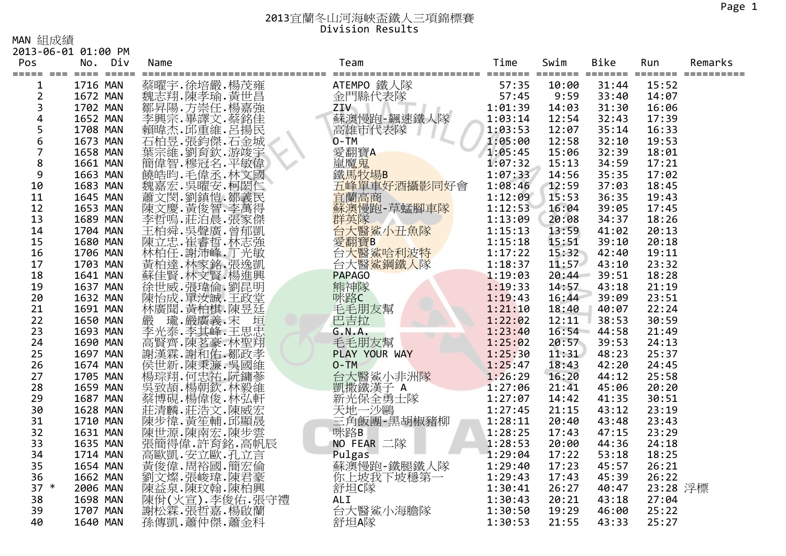MAN 組成績

2013‐06‐01 01:00 PM

| 蔡曜宇.徐培嚴.楊茂雍<br>ATEMPO 鐵人隊<br>1716 MAN<br>57:35<br>10:00<br>31:44<br>15:52<br>1<br>魏志翔.陳孝瑜.黃世昌<br>金門縣代表隊<br>$\overline{2}$<br>57:45<br>9:59<br>1672 MAN<br>33:40<br>14:07<br>3<br>《鄒昇陽·方崇任·楊嘉強<br>李興宗·畢譯文·蔡銘佳<br>賴瑋·平重維·呂揚<br>ZIV<br>1:01:39<br>1702 MAN<br>14:03<br>31:30<br>16:06<br>4<br>蘇澳慢跑-飆速鐵人隊<br>1652 MAN<br>1:03:14<br>12:54<br>32:43<br>17:39<br>5<br>1708 MAN<br>高雄市代表隊<br>1:03:53<br>12:07<br>35:14<br>16:33<br>6<br>石柏昱.張鈞傑.石金城<br>$O-TM$<br>12:58<br>19:53<br>1673 MAN<br>1:05:00<br>32:10<br>愛翻寶A<br>$\overline{7}$<br>1:05:45<br>15:06<br>32:39<br>1658 MAN<br>18:01<br>8<br>嵐魔鬼<br>鐵馬牧場B<br>1:07:32<br>17:21<br>1661 MAN<br>15:13<br>34:59<br>9<br>1:07:33<br>1663 MAN<br>14:56<br>35:35<br>17:02<br>五峰單車好酒攝影同好會<br>10<br>1683 MAN<br>1:08:46<br>12:59<br>37:03<br>18:45<br>宜蘭高商<br>1:12:09<br>15:53<br>36:35<br>11<br>1645 MAN<br>19:43<br>【陳文慶·黃俊智·李萬得<br>李哲嗚·莊泊晨·張家傑<br>蘇澳慢跑-草蜢腳車隊<br>12<br>1:12:53<br>17:45<br>1653 MAN<br>16:04<br>39:05<br>群英隊<br>13<br>1:13:09<br>18:26<br>1689 MAN<br>34:37<br>20:08<br>台大醫鯊小丑魚隊<br>14<br>1704 MAN<br>1:15:13<br>20:13<br>13:59<br>41:02<br>工陳志.崔睿哲.林志蘭,林柏任.謝沛峰.丁光錫.張逸凱<br>林柏任.謝沛峰.丁光敏凱<br>黃柏達.林家賢.楊進賢.林文賢.楊<br>愛翻寶B ( )<br>15<br>1680 MAN<br>1:15:18<br>15:51<br>39:10<br>20:18<br>1:17:22<br>16<br>1706 MAN<br>15:32<br>42:40<br>19:11<br>17<br>台大醫鯊鋼鐵人隊<br>1:18:37<br>11:57<br>43:10<br>23:32<br>1703 MAN<br><b>PAPAGO</b><br>1:19:03<br>18<br>1641 MAN<br>20:44<br>39:51<br>18:28<br>"徐世威.張瑋倫.劉昆明<br>陳怡成.單汝誠.王政堂<br>熊神隊<br>19<br>1637 MAN<br>1:19:33<br>14:57<br>43:18<br>21:19<br>20<br>咪路C<br>23:51<br>1632 MAN<br>1:19:43<br>16:44<br>39:09<br>林廣 请柏棋·陳昱廷<br>嚴瑞·嚴廣義·宋<br>李光泰·李其峰·王思忠<br>毛毛朋友幫<br>21<br>1691 MAN<br>1:21:10<br>18:40<br>40:07<br>22:24<br>巴吉拉<br>1:22:02<br>22<br>30:59<br>1650 MAN<br>12:11<br>38:53<br>23<br>1693 MAN<br>G.N.A.<br>1:23:40<br>16:54<br>44:58<br>21:49<br>高賢齊.陳茗豪.林聖翔<br>毛毛朋友幫<br>24<br>1:25:02<br>1690 MAN<br>20:57<br>39:53<br>24:13<br>同謝漢·謝布德 · 林宗教博士 · 林治和病毒 · 林明亮的现在分词 · 林国家 · 林国家 · 林国家 · 林国家 · 林国家 · 林国家 · 林国家 · 林国家 · 林国家 · 林国家 · 林国家 · 林国家 · 林国家 · 林国家 · 林国家 · 林国家 · 林国家 · 林国家 · 林国家 · 林国家 · 林国家<br>25<br>1:25:30<br>1697 MAN<br>PLAY YOUR WAY<br>11:31<br>48:23<br>25:37<br>26<br>$O-TM$<br>1:25:47<br>1674 MAN<br>18:43<br>42:20<br>24:45<br>台大醫鯊小非洲隊<br>凱撒鐵漢子 A<br>27<br>1705 MAN<br>1:26:29<br>16:20<br>25:58<br>44:12<br>28<br>1:27:06<br>1659 MAN<br>45:06<br>20:20<br>21:41<br>新光保全勇士隊<br>29<br>1687 MAN<br>1:27:07<br>30:51<br>14:42<br>41:35<br>莊清麟.莊浩文.陳威宏<br>陳步偉.黃笙輔.邱顯晟<br>30<br>天地一沙鷗<br>1:27:45<br>23:19<br>1628 MAN<br>21:15<br>43:12<br>三角飯團-黑胡椒豬柳<br>31<br>1710 MAN<br>1:28:11<br>23:43<br>20:40<br>43:48<br>陳世源.陳南宏.陳步雲<br>32<br>咪路B<br>1631 MAN<br>1:28:25<br>47:15<br>23:29<br>17:43<br>張簡得偉.許育銘.高帆辰<br>33<br>NO FEAR 二隊<br>20:00<br>1635 MAN<br>1:28:53<br>44:36<br>24:18<br>34<br>1:29:04<br>17:22<br>1714 MAN<br>Pulgas<br>蘇澳慢跑-鐵腿鐵人隊<br>53:18<br>18:25<br>35<br>1:29:40<br>17:23<br>1654 MAN<br>45:57<br>26:21<br>你上坡我下坡穩第一<br>36<br>1662 MAN<br>1:29:43<br>17:43<br>45:39<br>26:22<br>$37 *$<br>舒坦C隊<br>1:30:41<br>23:28 浮標<br>2006 MAN<br>26:27<br>40:47<br>38<br>1698 MAN<br><b>ALI</b><br>1:30:43<br>20:21<br>27:04<br>43:18<br>台大醫鯊小海膽隊<br>謝松霖.張哲嘉.楊啟蘭<br>39<br>1:30:50<br>19:29<br>46:00<br>25:22<br>1707 MAN<br>孫傳凱.蕭仲傑.蕭金科<br>舒坦A隊<br>25:27<br>40<br>1:30:53<br>21:55<br>43:33<br>1640 MAN | Pos | No. | Div | Name | Team | Time | Swim | Bike | Run | Remarks |
|--------------------------------------------------------------------------------------------------------------------------------------------------------------------------------------------------------------------------------------------------------------------------------------------------------------------------------------------------------------------------------------------------------------------------------------------------------------------------------------------------------------------------------------------------------------------------------------------------------------------------------------------------------------------------------------------------------------------------------------------------------------------------------------------------------------------------------------------------------------------------------------------------------------------------------------------------------------------------------------------------------------------------------------------------------------------------------------------------------------------------------------------------------------------------------------------------------------------------------------------------------------------------------------------------------------------------------------------------------------------------------------------------------------------------------------------------------------------------------------------------------------------------------------------------------------------------------------------------------------------------------------------------------------------------------------------------------------------------------------------------------------------------------------------------------------------------------------------------------------------------------------------------------------------------------------------------------------------------------------------------------------------------------------------------------------------------------------------------------------------------------------------------------------------------------------------------------------------------------------------------------------------------------------------------------------------------------------------------------------------------------------------------------------------------------------------------------------------------------------------------------------------------------------------------------------------------------------------------------------------------------------------------------------------------------------------------------------------------------------------------------------------------------------------------------------------------------------------------------------------------------------------------------------------------------------------------------------------------------------------------------------------------------------------------------------------------------------------------------------------------------------------------------------------------------------------------------------------------------------------------------------------------------------------------------------------------------------|-----|-----|-----|------|------|------|------|------|-----|---------|
|                                                                                                                                                                                                                                                                                                                                                                                                                                                                                                                                                                                                                                                                                                                                                                                                                                                                                                                                                                                                                                                                                                                                                                                                                                                                                                                                                                                                                                                                                                                                                                                                                                                                                                                                                                                                                                                                                                                                                                                                                                                                                                                                                                                                                                                                                                                                                                                                                                                                                                                                                                                                                                                                                                                                                                                                                                                                                                                                                                                                                                                                                                                                                                                                                                                                                                                                      |     |     |     |      |      |      |      |      |     |         |
|                                                                                                                                                                                                                                                                                                                                                                                                                                                                                                                                                                                                                                                                                                                                                                                                                                                                                                                                                                                                                                                                                                                                                                                                                                                                                                                                                                                                                                                                                                                                                                                                                                                                                                                                                                                                                                                                                                                                                                                                                                                                                                                                                                                                                                                                                                                                                                                                                                                                                                                                                                                                                                                                                                                                                                                                                                                                                                                                                                                                                                                                                                                                                                                                                                                                                                                                      |     |     |     |      |      |      |      |      |     |         |
|                                                                                                                                                                                                                                                                                                                                                                                                                                                                                                                                                                                                                                                                                                                                                                                                                                                                                                                                                                                                                                                                                                                                                                                                                                                                                                                                                                                                                                                                                                                                                                                                                                                                                                                                                                                                                                                                                                                                                                                                                                                                                                                                                                                                                                                                                                                                                                                                                                                                                                                                                                                                                                                                                                                                                                                                                                                                                                                                                                                                                                                                                                                                                                                                                                                                                                                                      |     |     |     |      |      |      |      |      |     |         |
|                                                                                                                                                                                                                                                                                                                                                                                                                                                                                                                                                                                                                                                                                                                                                                                                                                                                                                                                                                                                                                                                                                                                                                                                                                                                                                                                                                                                                                                                                                                                                                                                                                                                                                                                                                                                                                                                                                                                                                                                                                                                                                                                                                                                                                                                                                                                                                                                                                                                                                                                                                                                                                                                                                                                                                                                                                                                                                                                                                                                                                                                                                                                                                                                                                                                                                                                      |     |     |     |      |      |      |      |      |     |         |
|                                                                                                                                                                                                                                                                                                                                                                                                                                                                                                                                                                                                                                                                                                                                                                                                                                                                                                                                                                                                                                                                                                                                                                                                                                                                                                                                                                                                                                                                                                                                                                                                                                                                                                                                                                                                                                                                                                                                                                                                                                                                                                                                                                                                                                                                                                                                                                                                                                                                                                                                                                                                                                                                                                                                                                                                                                                                                                                                                                                                                                                                                                                                                                                                                                                                                                                                      |     |     |     |      |      |      |      |      |     |         |
|                                                                                                                                                                                                                                                                                                                                                                                                                                                                                                                                                                                                                                                                                                                                                                                                                                                                                                                                                                                                                                                                                                                                                                                                                                                                                                                                                                                                                                                                                                                                                                                                                                                                                                                                                                                                                                                                                                                                                                                                                                                                                                                                                                                                                                                                                                                                                                                                                                                                                                                                                                                                                                                                                                                                                                                                                                                                                                                                                                                                                                                                                                                                                                                                                                                                                                                                      |     |     |     |      |      |      |      |      |     |         |
|                                                                                                                                                                                                                                                                                                                                                                                                                                                                                                                                                                                                                                                                                                                                                                                                                                                                                                                                                                                                                                                                                                                                                                                                                                                                                                                                                                                                                                                                                                                                                                                                                                                                                                                                                                                                                                                                                                                                                                                                                                                                                                                                                                                                                                                                                                                                                                                                                                                                                                                                                                                                                                                                                                                                                                                                                                                                                                                                                                                                                                                                                                                                                                                                                                                                                                                                      |     |     |     |      |      |      |      |      |     |         |
|                                                                                                                                                                                                                                                                                                                                                                                                                                                                                                                                                                                                                                                                                                                                                                                                                                                                                                                                                                                                                                                                                                                                                                                                                                                                                                                                                                                                                                                                                                                                                                                                                                                                                                                                                                                                                                                                                                                                                                                                                                                                                                                                                                                                                                                                                                                                                                                                                                                                                                                                                                                                                                                                                                                                                                                                                                                                                                                                                                                                                                                                                                                                                                                                                                                                                                                                      |     |     |     |      |      |      |      |      |     |         |
|                                                                                                                                                                                                                                                                                                                                                                                                                                                                                                                                                                                                                                                                                                                                                                                                                                                                                                                                                                                                                                                                                                                                                                                                                                                                                                                                                                                                                                                                                                                                                                                                                                                                                                                                                                                                                                                                                                                                                                                                                                                                                                                                                                                                                                                                                                                                                                                                                                                                                                                                                                                                                                                                                                                                                                                                                                                                                                                                                                                                                                                                                                                                                                                                                                                                                                                                      |     |     |     |      |      |      |      |      |     |         |
|                                                                                                                                                                                                                                                                                                                                                                                                                                                                                                                                                                                                                                                                                                                                                                                                                                                                                                                                                                                                                                                                                                                                                                                                                                                                                                                                                                                                                                                                                                                                                                                                                                                                                                                                                                                                                                                                                                                                                                                                                                                                                                                                                                                                                                                                                                                                                                                                                                                                                                                                                                                                                                                                                                                                                                                                                                                                                                                                                                                                                                                                                                                                                                                                                                                                                                                                      |     |     |     |      |      |      |      |      |     |         |
|                                                                                                                                                                                                                                                                                                                                                                                                                                                                                                                                                                                                                                                                                                                                                                                                                                                                                                                                                                                                                                                                                                                                                                                                                                                                                                                                                                                                                                                                                                                                                                                                                                                                                                                                                                                                                                                                                                                                                                                                                                                                                                                                                                                                                                                                                                                                                                                                                                                                                                                                                                                                                                                                                                                                                                                                                                                                                                                                                                                                                                                                                                                                                                                                                                                                                                                                      |     |     |     |      |      |      |      |      |     |         |
|                                                                                                                                                                                                                                                                                                                                                                                                                                                                                                                                                                                                                                                                                                                                                                                                                                                                                                                                                                                                                                                                                                                                                                                                                                                                                                                                                                                                                                                                                                                                                                                                                                                                                                                                                                                                                                                                                                                                                                                                                                                                                                                                                                                                                                                                                                                                                                                                                                                                                                                                                                                                                                                                                                                                                                                                                                                                                                                                                                                                                                                                                                                                                                                                                                                                                                                                      |     |     |     |      |      |      |      |      |     |         |
|                                                                                                                                                                                                                                                                                                                                                                                                                                                                                                                                                                                                                                                                                                                                                                                                                                                                                                                                                                                                                                                                                                                                                                                                                                                                                                                                                                                                                                                                                                                                                                                                                                                                                                                                                                                                                                                                                                                                                                                                                                                                                                                                                                                                                                                                                                                                                                                                                                                                                                                                                                                                                                                                                                                                                                                                                                                                                                                                                                                                                                                                                                                                                                                                                                                                                                                                      |     |     |     |      |      |      |      |      |     |         |
|                                                                                                                                                                                                                                                                                                                                                                                                                                                                                                                                                                                                                                                                                                                                                                                                                                                                                                                                                                                                                                                                                                                                                                                                                                                                                                                                                                                                                                                                                                                                                                                                                                                                                                                                                                                                                                                                                                                                                                                                                                                                                                                                                                                                                                                                                                                                                                                                                                                                                                                                                                                                                                                                                                                                                                                                                                                                                                                                                                                                                                                                                                                                                                                                                                                                                                                                      |     |     |     |      |      |      |      |      |     |         |
|                                                                                                                                                                                                                                                                                                                                                                                                                                                                                                                                                                                                                                                                                                                                                                                                                                                                                                                                                                                                                                                                                                                                                                                                                                                                                                                                                                                                                                                                                                                                                                                                                                                                                                                                                                                                                                                                                                                                                                                                                                                                                                                                                                                                                                                                                                                                                                                                                                                                                                                                                                                                                                                                                                                                                                                                                                                                                                                                                                                                                                                                                                                                                                                                                                                                                                                                      |     |     |     |      |      |      |      |      |     |         |
|                                                                                                                                                                                                                                                                                                                                                                                                                                                                                                                                                                                                                                                                                                                                                                                                                                                                                                                                                                                                                                                                                                                                                                                                                                                                                                                                                                                                                                                                                                                                                                                                                                                                                                                                                                                                                                                                                                                                                                                                                                                                                                                                                                                                                                                                                                                                                                                                                                                                                                                                                                                                                                                                                                                                                                                                                                                                                                                                                                                                                                                                                                                                                                                                                                                                                                                                      |     |     |     |      |      |      |      |      |     |         |
|                                                                                                                                                                                                                                                                                                                                                                                                                                                                                                                                                                                                                                                                                                                                                                                                                                                                                                                                                                                                                                                                                                                                                                                                                                                                                                                                                                                                                                                                                                                                                                                                                                                                                                                                                                                                                                                                                                                                                                                                                                                                                                                                                                                                                                                                                                                                                                                                                                                                                                                                                                                                                                                                                                                                                                                                                                                                                                                                                                                                                                                                                                                                                                                                                                                                                                                                      |     |     |     |      |      |      |      |      |     |         |
|                                                                                                                                                                                                                                                                                                                                                                                                                                                                                                                                                                                                                                                                                                                                                                                                                                                                                                                                                                                                                                                                                                                                                                                                                                                                                                                                                                                                                                                                                                                                                                                                                                                                                                                                                                                                                                                                                                                                                                                                                                                                                                                                                                                                                                                                                                                                                                                                                                                                                                                                                                                                                                                                                                                                                                                                                                                                                                                                                                                                                                                                                                                                                                                                                                                                                                                                      |     |     |     |      |      |      |      |      |     |         |
|                                                                                                                                                                                                                                                                                                                                                                                                                                                                                                                                                                                                                                                                                                                                                                                                                                                                                                                                                                                                                                                                                                                                                                                                                                                                                                                                                                                                                                                                                                                                                                                                                                                                                                                                                                                                                                                                                                                                                                                                                                                                                                                                                                                                                                                                                                                                                                                                                                                                                                                                                                                                                                                                                                                                                                                                                                                                                                                                                                                                                                                                                                                                                                                                                                                                                                                                      |     |     |     |      |      |      |      |      |     |         |
|                                                                                                                                                                                                                                                                                                                                                                                                                                                                                                                                                                                                                                                                                                                                                                                                                                                                                                                                                                                                                                                                                                                                                                                                                                                                                                                                                                                                                                                                                                                                                                                                                                                                                                                                                                                                                                                                                                                                                                                                                                                                                                                                                                                                                                                                                                                                                                                                                                                                                                                                                                                                                                                                                                                                                                                                                                                                                                                                                                                                                                                                                                                                                                                                                                                                                                                                      |     |     |     |      |      |      |      |      |     |         |
|                                                                                                                                                                                                                                                                                                                                                                                                                                                                                                                                                                                                                                                                                                                                                                                                                                                                                                                                                                                                                                                                                                                                                                                                                                                                                                                                                                                                                                                                                                                                                                                                                                                                                                                                                                                                                                                                                                                                                                                                                                                                                                                                                                                                                                                                                                                                                                                                                                                                                                                                                                                                                                                                                                                                                                                                                                                                                                                                                                                                                                                                                                                                                                                                                                                                                                                                      |     |     |     |      |      |      |      |      |     |         |
|                                                                                                                                                                                                                                                                                                                                                                                                                                                                                                                                                                                                                                                                                                                                                                                                                                                                                                                                                                                                                                                                                                                                                                                                                                                                                                                                                                                                                                                                                                                                                                                                                                                                                                                                                                                                                                                                                                                                                                                                                                                                                                                                                                                                                                                                                                                                                                                                                                                                                                                                                                                                                                                                                                                                                                                                                                                                                                                                                                                                                                                                                                                                                                                                                                                                                                                                      |     |     |     |      |      |      |      |      |     |         |
|                                                                                                                                                                                                                                                                                                                                                                                                                                                                                                                                                                                                                                                                                                                                                                                                                                                                                                                                                                                                                                                                                                                                                                                                                                                                                                                                                                                                                                                                                                                                                                                                                                                                                                                                                                                                                                                                                                                                                                                                                                                                                                                                                                                                                                                                                                                                                                                                                                                                                                                                                                                                                                                                                                                                                                                                                                                                                                                                                                                                                                                                                                                                                                                                                                                                                                                                      |     |     |     |      |      |      |      |      |     |         |
|                                                                                                                                                                                                                                                                                                                                                                                                                                                                                                                                                                                                                                                                                                                                                                                                                                                                                                                                                                                                                                                                                                                                                                                                                                                                                                                                                                                                                                                                                                                                                                                                                                                                                                                                                                                                                                                                                                                                                                                                                                                                                                                                                                                                                                                                                                                                                                                                                                                                                                                                                                                                                                                                                                                                                                                                                                                                                                                                                                                                                                                                                                                                                                                                                                                                                                                                      |     |     |     |      |      |      |      |      |     |         |
|                                                                                                                                                                                                                                                                                                                                                                                                                                                                                                                                                                                                                                                                                                                                                                                                                                                                                                                                                                                                                                                                                                                                                                                                                                                                                                                                                                                                                                                                                                                                                                                                                                                                                                                                                                                                                                                                                                                                                                                                                                                                                                                                                                                                                                                                                                                                                                                                                                                                                                                                                                                                                                                                                                                                                                                                                                                                                                                                                                                                                                                                                                                                                                                                                                                                                                                                      |     |     |     |      |      |      |      |      |     |         |
|                                                                                                                                                                                                                                                                                                                                                                                                                                                                                                                                                                                                                                                                                                                                                                                                                                                                                                                                                                                                                                                                                                                                                                                                                                                                                                                                                                                                                                                                                                                                                                                                                                                                                                                                                                                                                                                                                                                                                                                                                                                                                                                                                                                                                                                                                                                                                                                                                                                                                                                                                                                                                                                                                                                                                                                                                                                                                                                                                                                                                                                                                                                                                                                                                                                                                                                                      |     |     |     |      |      |      |      |      |     |         |
|                                                                                                                                                                                                                                                                                                                                                                                                                                                                                                                                                                                                                                                                                                                                                                                                                                                                                                                                                                                                                                                                                                                                                                                                                                                                                                                                                                                                                                                                                                                                                                                                                                                                                                                                                                                                                                                                                                                                                                                                                                                                                                                                                                                                                                                                                                                                                                                                                                                                                                                                                                                                                                                                                                                                                                                                                                                                                                                                                                                                                                                                                                                                                                                                                                                                                                                                      |     |     |     |      |      |      |      |      |     |         |
|                                                                                                                                                                                                                                                                                                                                                                                                                                                                                                                                                                                                                                                                                                                                                                                                                                                                                                                                                                                                                                                                                                                                                                                                                                                                                                                                                                                                                                                                                                                                                                                                                                                                                                                                                                                                                                                                                                                                                                                                                                                                                                                                                                                                                                                                                                                                                                                                                                                                                                                                                                                                                                                                                                                                                                                                                                                                                                                                                                                                                                                                                                                                                                                                                                                                                                                                      |     |     |     |      |      |      |      |      |     |         |
|                                                                                                                                                                                                                                                                                                                                                                                                                                                                                                                                                                                                                                                                                                                                                                                                                                                                                                                                                                                                                                                                                                                                                                                                                                                                                                                                                                                                                                                                                                                                                                                                                                                                                                                                                                                                                                                                                                                                                                                                                                                                                                                                                                                                                                                                                                                                                                                                                                                                                                                                                                                                                                                                                                                                                                                                                                                                                                                                                                                                                                                                                                                                                                                                                                                                                                                                      |     |     |     |      |      |      |      |      |     |         |
|                                                                                                                                                                                                                                                                                                                                                                                                                                                                                                                                                                                                                                                                                                                                                                                                                                                                                                                                                                                                                                                                                                                                                                                                                                                                                                                                                                                                                                                                                                                                                                                                                                                                                                                                                                                                                                                                                                                                                                                                                                                                                                                                                                                                                                                                                                                                                                                                                                                                                                                                                                                                                                                                                                                                                                                                                                                                                                                                                                                                                                                                                                                                                                                                                                                                                                                                      |     |     |     |      |      |      |      |      |     |         |
|                                                                                                                                                                                                                                                                                                                                                                                                                                                                                                                                                                                                                                                                                                                                                                                                                                                                                                                                                                                                                                                                                                                                                                                                                                                                                                                                                                                                                                                                                                                                                                                                                                                                                                                                                                                                                                                                                                                                                                                                                                                                                                                                                                                                                                                                                                                                                                                                                                                                                                                                                                                                                                                                                                                                                                                                                                                                                                                                                                                                                                                                                                                                                                                                                                                                                                                                      |     |     |     |      |      |      |      |      |     |         |
|                                                                                                                                                                                                                                                                                                                                                                                                                                                                                                                                                                                                                                                                                                                                                                                                                                                                                                                                                                                                                                                                                                                                                                                                                                                                                                                                                                                                                                                                                                                                                                                                                                                                                                                                                                                                                                                                                                                                                                                                                                                                                                                                                                                                                                                                                                                                                                                                                                                                                                                                                                                                                                                                                                                                                                                                                                                                                                                                                                                                                                                                                                                                                                                                                                                                                                                                      |     |     |     |      |      |      |      |      |     |         |
|                                                                                                                                                                                                                                                                                                                                                                                                                                                                                                                                                                                                                                                                                                                                                                                                                                                                                                                                                                                                                                                                                                                                                                                                                                                                                                                                                                                                                                                                                                                                                                                                                                                                                                                                                                                                                                                                                                                                                                                                                                                                                                                                                                                                                                                                                                                                                                                                                                                                                                                                                                                                                                                                                                                                                                                                                                                                                                                                                                                                                                                                                                                                                                                                                                                                                                                                      |     |     |     |      |      |      |      |      |     |         |
|                                                                                                                                                                                                                                                                                                                                                                                                                                                                                                                                                                                                                                                                                                                                                                                                                                                                                                                                                                                                                                                                                                                                                                                                                                                                                                                                                                                                                                                                                                                                                                                                                                                                                                                                                                                                                                                                                                                                                                                                                                                                                                                                                                                                                                                                                                                                                                                                                                                                                                                                                                                                                                                                                                                                                                                                                                                                                                                                                                                                                                                                                                                                                                                                                                                                                                                                      |     |     |     |      |      |      |      |      |     |         |
|                                                                                                                                                                                                                                                                                                                                                                                                                                                                                                                                                                                                                                                                                                                                                                                                                                                                                                                                                                                                                                                                                                                                                                                                                                                                                                                                                                                                                                                                                                                                                                                                                                                                                                                                                                                                                                                                                                                                                                                                                                                                                                                                                                                                                                                                                                                                                                                                                                                                                                                                                                                                                                                                                                                                                                                                                                                                                                                                                                                                                                                                                                                                                                                                                                                                                                                                      |     |     |     |      |      |      |      |      |     |         |
|                                                                                                                                                                                                                                                                                                                                                                                                                                                                                                                                                                                                                                                                                                                                                                                                                                                                                                                                                                                                                                                                                                                                                                                                                                                                                                                                                                                                                                                                                                                                                                                                                                                                                                                                                                                                                                                                                                                                                                                                                                                                                                                                                                                                                                                                                                                                                                                                                                                                                                                                                                                                                                                                                                                                                                                                                                                                                                                                                                                                                                                                                                                                                                                                                                                                                                                                      |     |     |     |      |      |      |      |      |     |         |
|                                                                                                                                                                                                                                                                                                                                                                                                                                                                                                                                                                                                                                                                                                                                                                                                                                                                                                                                                                                                                                                                                                                                                                                                                                                                                                                                                                                                                                                                                                                                                                                                                                                                                                                                                                                                                                                                                                                                                                                                                                                                                                                                                                                                                                                                                                                                                                                                                                                                                                                                                                                                                                                                                                                                                                                                                                                                                                                                                                                                                                                                                                                                                                                                                                                                                                                                      |     |     |     |      |      |      |      |      |     |         |
|                                                                                                                                                                                                                                                                                                                                                                                                                                                                                                                                                                                                                                                                                                                                                                                                                                                                                                                                                                                                                                                                                                                                                                                                                                                                                                                                                                                                                                                                                                                                                                                                                                                                                                                                                                                                                                                                                                                                                                                                                                                                                                                                                                                                                                                                                                                                                                                                                                                                                                                                                                                                                                                                                                                                                                                                                                                                                                                                                                                                                                                                                                                                                                                                                                                                                                                                      |     |     |     |      |      |      |      |      |     |         |
|                                                                                                                                                                                                                                                                                                                                                                                                                                                                                                                                                                                                                                                                                                                                                                                                                                                                                                                                                                                                                                                                                                                                                                                                                                                                                                                                                                                                                                                                                                                                                                                                                                                                                                                                                                                                                                                                                                                                                                                                                                                                                                                                                                                                                                                                                                                                                                                                                                                                                                                                                                                                                                                                                                                                                                                                                                                                                                                                                                                                                                                                                                                                                                                                                                                                                                                                      |     |     |     |      |      |      |      |      |     |         |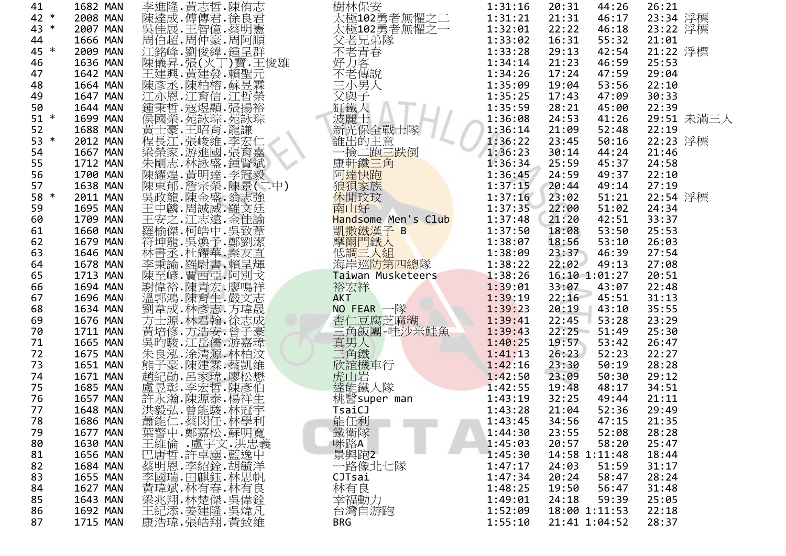| 41     | 1682 MAN |                                                                                                                                                                                                                             | 樹林保安                                                                                         | 1:31:16 | 44:26<br>20:31  | 26:21      |
|--------|----------|-----------------------------------------------------------------------------------------------------------------------------------------------------------------------------------------------------------------------------|----------------------------------------------------------------------------------------------|---------|-----------------|------------|
| 42 *   | 2008 MAN |                                                                                                                                                                                                                             | 太極102勇者無懼之二<br>太極102勇者無懼之一                                                                   | 1:31:21 | 21:31<br>46:17  | 23:34 浮標   |
| 43 *   | 2007 MAN |                                                                                                                                                                                                                             |                                                                                              | 1:32:01 | 22:22<br>46:18  | 23:22 浮標   |
| 44     | 1666 MAN |                                                                                                                                                                                                                             |                                                                                              | 1:33:02 | 55:32<br>16:31  | 21:01      |
| 45 *   | 2009 MAN |                                                                                                                                                                                                                             |                                                                                              | 1:33:28 | 42:54<br>29:13  | 21:22 浮標   |
| 46     | 1636 MAN |                                                                                                                                                                                                                             |                                                                                              | 1:34:14 | 46:59<br>21:23  | 25:53      |
| 47     | 1642 MAN |                                                                                                                                                                                                                             |                                                                                              | 1:34:26 | 17:24<br>47:59  | 29:04      |
| 48     | 1664 MAN |                                                                                                                                                                                                                             | 《父不好不三、经书是青客——我人名弟春——說人名弟春——說人名弟春——說人名                                                       | 1:35:09 | 19:04<br>53:56  | 22:10      |
| 49     | 1647 MAN |                                                                                                                                                                                                                             |                                                                                              | 1:35:25 | 17:43<br>47:09  | 30:33      |
| 50     | 1644 MAN |                                                                                                                                                                                                                             |                                                                                              | 1:35:59 | 28:21<br>45:00  | 22:39      |
| $51 *$ | 1699 MAN |                                                                                                                                                                                                                             | 二父缸波解洗出换新能一康新 <mark>遗</mark><br>小與鐵麗光保的二 <u>次的三角子,大多子,全主三十八年,有一次的三十八年的三十八年的三十八年的三十八年的三十八</u> | 1:36:08 | 24:53<br>41:26  | 29:51 未滿三人 |
| 52     | 1688 MAN |                                                                                                                                                                                                                             |                                                                                              | 1:36:14 | 21:09<br>52:48  | 22:19      |
| 53 *   | 2012 MAN |                                                                                                                                                                                                                             |                                                                                              | 1:36:22 | 23:45<br>50:16  | 22:23 浮標   |
| 54     | 1667 MAN |                                                                                                                                                                                                                             |                                                                                              | 1:36:23 | 44:24<br>30:14  | 21:46      |
| 55     | 1712 MAN |                                                                                                                                                                                                                             |                                                                                              | 1:36:34 | 25:59<br>45:37  | 24:58      |
| 56     | 1700 MAN |                                                                                                                                                                                                                             |                                                                                              | 1:36:45 | 24:59<br>49:37  | 22:10      |
| 57     | 1638 MAN |                                                                                                                                                                                                                             | 阿達快跑                                                                                         | 1:37:15 | 20:44<br>49:14  | 27:19      |
| 58 *   | 2011 MAN |                                                                                                                                                                                                                             | 休閒玟玟                                                                                         | 1:37:16 | 51:21<br>23:02  | 22:54 浮標   |
| 59     | 1695 MAN |                                                                                                                                                                                                                             | 南山好                                                                                          | 1:37:35 | 22:00<br>51:02  | 24:34      |
| 60     | 1709 MAN |                                                                                                                                                                                                                             | Handsome Men's Club                                                                          | 1:37:48 | 21:20<br>42:51  | 33:37      |
| 61     | 1660 MAN |                                                                                                                                                                                                                             |                                                                                              | 1:37:50 | 53:50<br>18:08  | 25:53      |
| 62     | 1679 MAN |                                                                                                                                                                                                                             |                                                                                              | 1:38:07 | 18:56<br>53:10  | 26:03      |
| 63     | 1646 MAN |                                                                                                                                                                                                                             |                                                                                              | 1:38:09 | 23:37<br>46:39  | 27:54      |
| 64     | 1678 MAN |                                                                                                                                                                                                                             | 凯撒鐵漢子 B<br>摩爾門鐵人<br>低調三人組<br>但是拉爾亞洲                                                          | 1:38:22 | 22:02<br>49:13  | 27:08      |
| 65     | 1713 MAN |                                                                                                                                                                                                                             | Taiwan Musketeers                                                                            | 1:38:26 | 16:10 1:01:27   | 20:51      |
| 66     | 1694 MAN |                                                                                                                                                                                                                             | 裕宏祥                                                                                          | 1:39:01 | 33:07<br>43:07  | 22:48      |
| 67     | 1696 MAN |                                                                                                                                                                                                                             | <b>AKT</b>                                                                                   | 1:39:19 | 22:16<br>45:51  | 31:13      |
| 68     | 1634 MAN |                                                                                                                                                                                                                             | NO FEAR $-\mathbb{K}$                                                                        | 1:39:23 | 20:19<br>43:10  | 35:55      |
| 69     | 1676 MAN |                                                                                                                                                                                                                             | 杏仁豆腐芝麻糊                                                                                      | 1:39:41 | 22:45<br>53:28  | 23:29      |
| 70     | 1711 MAN |                                                                                                                                                                                                                             | 三角飯團-哇沙米鮭魚<br>真男人<br>三角鐵                                                                     | 1:39:43 | $22:25 - 51:49$ | 25:30      |
| 71     | 1665 MAN |                                                                                                                                                                                                                             |                                                                                              | 1:40:25 | 19:57<br>53:42  | 26:47      |
| 72     | 1675 MAN |                                                                                                                                                                                                                             |                                                                                              | 1:41:13 | 26:23<br>52:23  | 22:27      |
| 73     | 1651 MAN |                                                                                                                                                                                                                             |                                                                                              | 1:42:16 | 23:30<br>50:19  | 28:28      |
| 74     | 1671 MAN |                                                                                                                                                                                                                             | 欣誼機車行<br>虎山岩<br>達能鐵人隊                                                                        | 1:42:50 | 23:09<br>50:30  | 29:12      |
| 75     | 1685 MAN |                                                                                                                                                                                                                             |                                                                                              | 1:42:55 | 48:17<br>19:48  | 34:51      |
| 76     | 1657 MAN |                                                                                                                                                                                                                             | 桃醫super man                                                                                  | 1:43:19 | 32:25<br>49:44  | 21:11      |
| 77     | 1648 MAN |                                                                                                                                                                                                                             | TsaiCJ                                                                                       | 1:43:28 | 21:04<br>52:36  | 29:49      |
| 78     | 1686 MAN |                                                                                                                                                                                                                             |                                                                                              |         | 34:56<br>47:15  | 21:35      |
| 79     | 1677 MAN |                                                                                                                                                                                                                             |                                                                                              |         | 23:55<br>52:08  | 28:28      |
| 80     | 1630 MAN |                                                                                                                                                                                                                             |                                                                                              |         | 20:57<br>58:20  | 25:47      |
| 81     | 1656 MAN |                                                                                                                                                                                                                             | - 能任利<br>鐵衛隊<br>景略A 1:44:30<br>景興跑2 1:45:30                                                  |         | 14:58 1:11:48   | 18:44      |
| 82     | 1684 MAN |                                                                                                                                                                                                                             | 一路像北七隊                                                                                       | 1:47:17 | 24:03<br>51:59  | 31:17      |
| 83     | 1655 MAN | {常常には、高いので、「無数・「小型利用」を発行・薬害の・「キー」を提供していないです。「非常感情」を感じています。「キー」を、「キー」を、「キー」を、「キー」を、「キー」を、「キー」を、「キー」を、「キー」を、「キー」を、「キー」を、「キー」を、「キー」を、「キー」を、「キー」を、「キー」を、「キー」を、「キー」を、「キー」を、「キー」を、「キー」を、「キー」を、「キー」を、「キー」を、「キー」を、「キー」を、「キー」を、「キー」を | CJTsai                                                                                       | 1:47:34 | 20:24<br>58:47  | 28:24      |
| 84     | 1627 MAN |                                                                                                                                                                                                                             | 林有良                                                                                          | 1:48:25 | 19:50<br>56:47  | 31:48      |
| 85     | 1643 MAN | ,黃瑋,林有春,林有自<br>梁兆翔,林楚傑,吳偉銓<br>梁兆翔,林楚傑,吳煒凡<br>康浩瑋,張皓翔,黃致維                                                                                                                                                                    | 幸福動力                                                                                         | 1:49:01 | 59:39<br>24:18  | 25:05      |
| 86     | 1692 MAN |                                                                                                                                                                                                                             | 台灣自游跑                                                                                        | 1:52:09 | 18:00 1:11:53   | 22:18      |
| 87     | 1715 MAN |                                                                                                                                                                                                                             | <b>BRG</b>                                                                                   | 1:55:10 | 21:41 1:04:52   | 28:37      |
|        |          |                                                                                                                                                                                                                             |                                                                                              |         |                 |            |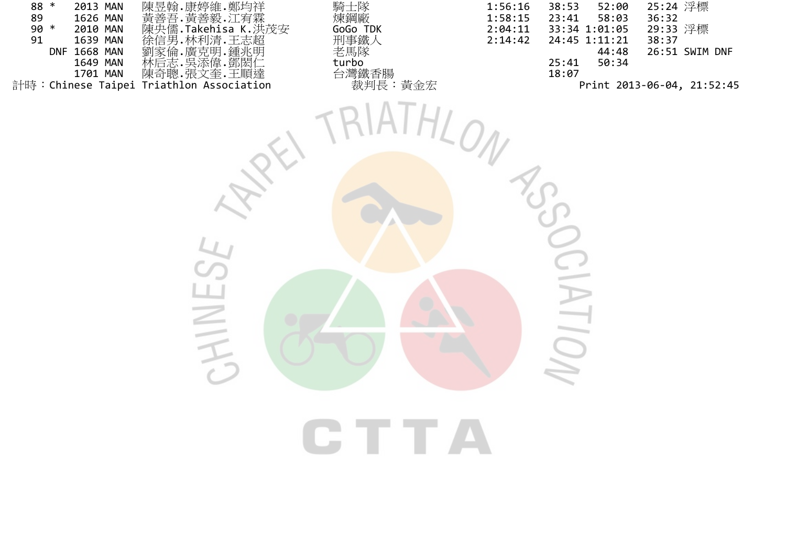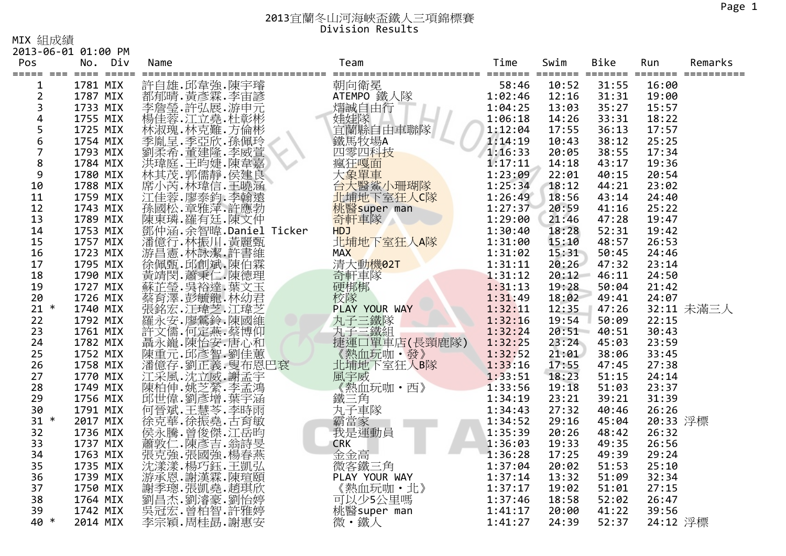MIX 組成績

2013‐06‐01 01:00 PM

| Pos<br>$===$<br>$=$ $=$ | No. Div<br>==== ===== === | Name |                                                          | Team<br>============     | Time    | Swim  | Bike  | Run      | Remarks    |
|-------------------------|---------------------------|------|----------------------------------------------------------|--------------------------|---------|-------|-------|----------|------------|
| 1                       | 1781 MIX                  |      | 許自雄.邱韋強.陳宇璿<br>都郁晴.黃彥霖.李宙諺                               | 朝向衛冕                     | 58:46   | 10:52 | 31:55 | 16:00    |            |
| $\overline{2}$          | 1787 MIX                  |      |                                                          | ATEMPO 鐵人隊               | 1:02:46 | 12:16 | 31:31 | 19:00    |            |
| 3                       | 1733 MIX                  |      | #李晨·許弘展·游申元<br>楊佳蓉·江立堯·杜彰彬<br>林淑瑰·林克難·方倫彬                | 熠誠自由行                    | 1:04:25 | 13:03 | 35:27 | 15:57    |            |
| 4                       | 1755 MIX                  |      |                                                          | 准娃隊<br>宜蘭縣自由車聯隊<br>鐵馬牧場A | 1:06:18 | 14:26 | 33:31 | 18:22    |            |
| 5<br>6                  | 1725 MIX                  |      |                                                          |                          | 1:12:04 | 17:55 | 36:13 | 17:57    |            |
|                         | 1754 MIX                  |      | 季胤呈.季亞欣.孫佩玲<br>劉柔希.董建隆.李威萱                               |                          | 1:14:19 | 10:43 | 38:12 | 25:25    |            |
| $\overline{7}$          | 1793 MIX                  |      |                                                          | 四零四科技                    | 1:16:33 | 20:05 | 38:55 | 17:34    |            |
| 8                       | 1784 MIX                  |      | 洪瑋庭.王昀婕.陳韋嘉<br>林其茂.郭儒靜.侯建良                               | 瘋狂嘎面<br>大象單車             | 1:17:11 | 14:18 | 43:17 | 19:36    |            |
| 9                       | 1780 MIX                  |      |                                                          |                          | 1:23:09 | 22:01 | 40:15 | 20:54    |            |
| 10                      | 1788 MIX                  |      | 席小芮.林瑋信.王曉涵<br>江佳蓉·廖泰鈞·李翰遠·                              | 台大醫鯊小珊瑚隊                 | 1:25:34 | 18:12 | 44:21 | 23:02    |            |
| 11                      | 1759 MIX                  |      |                                                          | 北埔地下室狂人C隊                | 1:26:49 | 18:56 | 43:14 | 24:40    |            |
| 12                      | 1743 MIX                  |      |                                                          | 桃醫super man              | 1:27:37 | 20:59 | 41:16 | 25:22    |            |
| 13                      | 1789 MIX                  |      | 孫國松.章雅萍.許應勃<br>陳東璘.羅有廷.陳文仲                               | 奇軒車隊                     | 1:29:00 | 21:46 | 47:28 | 19:47    |            |
| 14                      | 1753 MIX                  |      | 鄧仲涵. 余智暐. Daniel Ticker                                  | <b>HDJ</b>               | 1:30:40 | 18:28 | 52:31 | 19:42    |            |
| 15                      | 1757 MIX                  |      | 潘億行.林振川.黃麗甄                                              | 北埔地下室狂人A隊                | 1:31:00 | 15:10 | 48:57 | 26:53    |            |
| 16                      | 1723 MIX                  |      | 游昌憲·林詠潔·許書維                                              | <b>MAX</b>               | 1:31:02 | 15:31 | 50:45 | 24:46    |            |
| 17                      | 1795 MIX                  |      | "徐佩甄.邱創斌.陳伯霖<br>黃靖閔.蕭秉仁.陳德理<br>蘇芷等.吳裕達.葉文玉               | 清大動機02T                  | 1:31:11 | 20:26 | 47:32 | 23:14    |            |
| 18                      | 1790 MIX                  |      |                                                          | 奇軒車隊                     | 1:31:12 | 20:12 | 46:11 | 24:50    |            |
| 19                      | 1727 MIX                  |      |                                                          | 硬梆梆                      | 1:31:13 | 19:28 | 50:04 | 21:42    |            |
| 20                      | 1726 MIX                  |      | 蔡育澤.彭毓龍.林幼君                                              | 校隊                       | 1:31:49 | 18:02 | 49:41 | 24:07    |            |
| $21 *$                  | 1740 MIX                  |      | 張銘宏.江瑋芝.江瑋芝.<br>羅永安.廖鶯鈴.陳國維<br>許文儒.何定燕.蔡博仰               | PLAY YOUR WAY            | 1:32:11 | 12:35 | 47:26 |          | 32:11 未滿三人 |
| 22                      | 1792 MIX                  |      |                                                          | 丸子三鐵隊<br>丸子三鐵組           | 1:32:16 | 19:54 | 50:09 | 22:15    |            |
| 23                      | 1761 MIX                  |      |                                                          |                          | 1:32:24 | 20:51 | 40:51 | 30:43    |            |
| 24                      | 1782 MIX                  |      |                                                          | 捷運口單車店(長頸鹿隊)             | 1:32:25 | 23:24 | 45:03 | 23:59    |            |
| 25                      | 1752 MIX                  |      |                                                          | 《熱血玩咖·發》                 | 1:32:52 | 21:01 | 38:06 | 33:45    |            |
| 26                      | 1758 MIX                  |      |                                                          | 北埔地下室狂人的隊<br>風宇威         | 1:33:16 | 17:55 | 47:45 | 27:38    |            |
| 27                      | 1770 MIX                  |      |                                                          |                          | 1:33:51 | 18:23 | 51:15 | 24:14    |            |
| 28                      | 1749 MIX                  |      |                                                          | 《熱血玩咖·西》                 | 1:33:56 | 19:18 | 51:03 | 23:37    |            |
| 29                      | 1756 MIX                  |      | 陳柏伸.姚芝縈.李孟鴻<br>邱世偉.劉彥增.葉宇涵                               | 鐵三角<br>丸子車隊              | 1:34:19 | 23:21 | 39:21 | 31:39    |            |
| 30                      | 1791 MIX                  |      | 何晉斌.王慧芩.李時雨<br>徐克華.徐振堯.古育敏                               |                          | 1:34:43 | 27:32 | 40:46 | 26:26    |            |
| $31 *$                  | 2017 MIX                  |      |                                                          | 霸當家<br>我是運動員             | 1:34:52 | 29:16 | 45:04 | 20:33 浮標 |            |
| 32                      | 1736 MIX                  |      | 侯永騰.曾俊傑.江岳昀                                              |                          | 1:35:39 | 20:26 | 48:42 | 26:32    |            |
| 33                      | 1737 MIX                  |      | 蕭敦仁.陳彥吉.翁詩旻                                              | <b>CRK</b>               | 1:36:03 | 19:33 | 49:35 | 26:56    |            |
| 34                      | 1763 MIX                  |      | 「張克·張國·張國·楊子燕<br>沈遠漾·楊巧鈺·王凱弘<br>游承恩·謝漢霖·陳瑄<br>游承恩·謝漢霖·陳瑄 | 金金高                      | 1:36:28 | 17:25 | 49:39 | 29:24    |            |
| 35                      | 1735 MIX                  |      |                                                          | 微客鐵三角                    | 1:37:04 | 20:02 | 51:53 | 25:10    |            |
| 36                      | 1739 MIX                  |      |                                                          | PLAY YOUR WAY            | 1:37:14 | 13:32 | 51:09 | 32:34    |            |
| 37                      | 1750 MIX                  |      | 謝季璁.張凱堯.趙琪欣<br>劉昌杰.劉濬豪.劉怡婷                               | 《熱血玩咖·北》                 | 1:37:17 | 19:02 | 51:01 | 27:15    |            |
| 38                      | 1764 MIX                  |      |                                                          | 可以少5公里嗎                  | 1:37:46 | 18:58 | 52:02 | 26:47    |            |
| 39                      | 1742 MIX                  |      | 吳冠宏· 曾柏智· 許雅婷                                            | 桃醫super man              | 1:41:17 | 20:00 | 41:22 | 39:56    |            |
| 40 *                    | 2014 MIX                  |      | 李宗穎.周桂勗.謝惠安                                              | 微・鐵人                     | 1:41:27 | 24:39 | 52:37 | 24:12 浮標 |            |